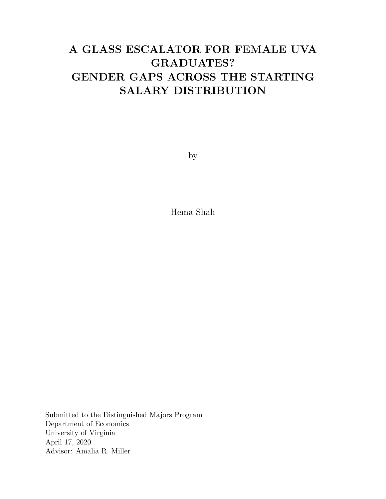# A GLASS ESCALATOR FOR FEMALE UVA GRADUATES? GENDER GAPS ACROSS THE STARTING SALARY DISTRIBUTION

by

Hema Shah

Submitted to the Distinguished Majors Program Department of Economics University of Virginia April 17, 2020 Advisor: Amalia R. Miller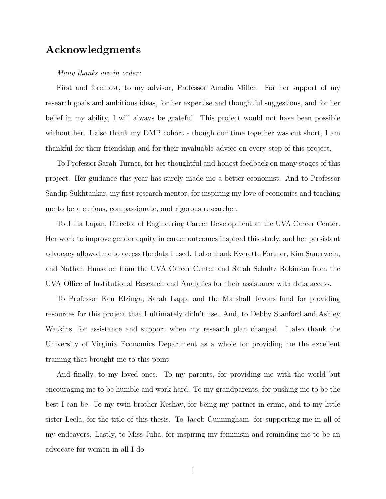### Acknowledgments

Many thanks are in order:

First and foremost, to my advisor, Professor Amalia Miller. For her support of my research goals and ambitious ideas, for her expertise and thoughtful suggestions, and for her belief in my ability, I will always be grateful. This project would not have been possible without her. I also thank my DMP cohort - though our time together was cut short, I am thankful for their friendship and for their invaluable advice on every step of this project.

To Professor Sarah Turner, for her thoughtful and honest feedback on many stages of this project. Her guidance this year has surely made me a better economist. And to Professor Sandip Sukhtankar, my first research mentor, for inspiring my love of economics and teaching me to be a curious, compassionate, and rigorous researcher.

To Julia Lapan, Director of Engineering Career Development at the UVA Career Center. Her work to improve gender equity in career outcomes inspired this study, and her persistent advocacy allowed me to access the data I used. I also thank Everette Fortner, Kim Sauerwein, and Nathan Hunsaker from the UVA Career Center and Sarah Schultz Robinson from the UVA Office of Institutional Research and Analytics for their assistance with data access.

To Professor Ken Elzinga, Sarah Lapp, and the Marshall Jevons fund for providing resources for this project that I ultimately didn't use. And, to Debby Stanford and Ashley Watkins, for assistance and support when my research plan changed. I also thank the University of Virginia Economics Department as a whole for providing me the excellent training that brought me to this point.

And finally, to my loved ones. To my parents, for providing me with the world but encouraging me to be humble and work hard. To my grandparents, for pushing me to be the best I can be. To my twin brother Keshav, for being my partner in crime, and to my little sister Leela, for the title of this thesis. To Jacob Cunningham, for supporting me in all of my endeavors. Lastly, to Miss Julia, for inspiring my feminism and reminding me to be an advocate for women in all I do.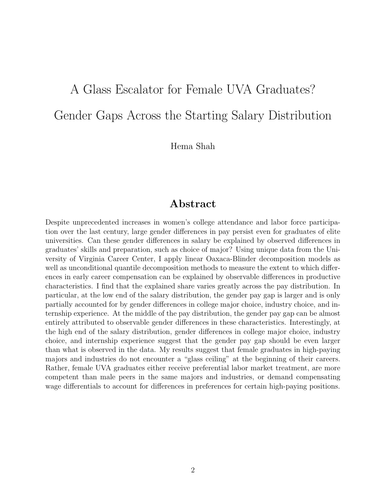# A Glass Escalator for Female UVA Graduates? Gender Gaps Across the Starting Salary Distribution

Hema Shah

### Abstract

Despite unprecedented increases in women's college attendance and labor force participation over the last century, large gender differences in pay persist even for graduates of elite universities. Can these gender differences in salary be explained by observed differences in graduates' skills and preparation, such as choice of major? Using unique data from the University of Virginia Career Center, I apply linear Oaxaca-Blinder decomposition models as well as unconditional quantile decomposition methods to measure the extent to which differences in early career compensation can be explained by observable differences in productive characteristics. I find that the explained share varies greatly across the pay distribution. In particular, at the low end of the salary distribution, the gender pay gap is larger and is only partially accounted for by gender differences in college major choice, industry choice, and internship experience. At the middle of the pay distribution, the gender pay gap can be almost entirely attributed to observable gender differences in these characteristics. Interestingly, at the high end of the salary distribution, gender differences in college major choice, industry choice, and internship experience suggest that the gender pay gap should be even larger than what is observed in the data. My results suggest that female graduates in high-paying majors and industries do not encounter a "glass ceiling" at the beginning of their careers. Rather, female UVA graduates either receive preferential labor market treatment, are more competent than male peers in the same majors and industries, or demand compensating wage differentials to account for differences in preferences for certain high-paying positions.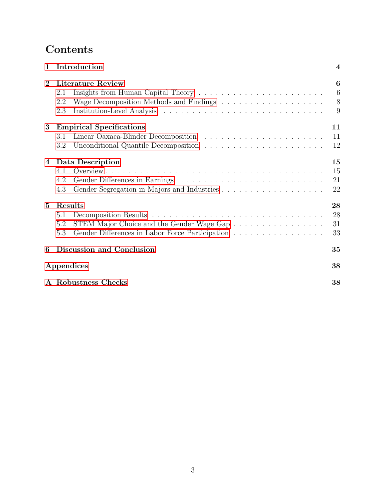# Contents

| 1               | Introduction                                                                                                                        | 4                    |
|-----------------|-------------------------------------------------------------------------------------------------------------------------------------|----------------------|
| $\mathbf{2}$    | <b>Literature Review</b><br>2.1<br>2.2<br>2.3                                                                                       | 6<br>6<br>8<br>9     |
| 3               | <b>Empirical Specifications</b><br>3.1<br>3.2                                                                                       | 11<br>11<br>12       |
| 4               | Data Description<br>4.1<br>4.2<br>4.3                                                                                               | 15<br>15<br>21<br>22 |
| $5\overline{)}$ | <b>Results</b><br>5.1<br>STEM Major Choice and the Gender Wage Gap<br>5.2<br>Gender Differences in Labor Force Participation<br>5.3 | 28<br>28<br>31<br>33 |
| 6               | Discussion and Conclusion                                                                                                           | 35                   |
|                 | Appendices                                                                                                                          | 38                   |
|                 | A Robustness Checks                                                                                                                 | 38                   |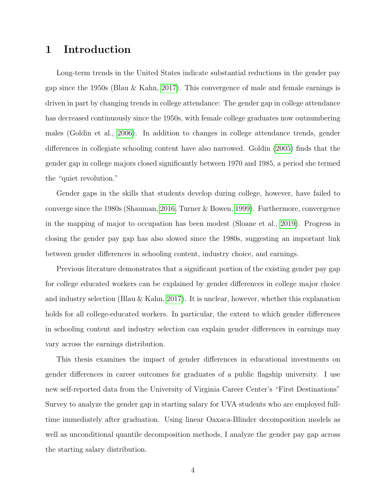### <span id="page-4-0"></span>1 Introduction

Long-term trends in the United States indicate substantial reductions in the gender pay gap since the 1950s (Blau & Kahn, [2017\)](#page-42-0). This convergence of male and female earnings is driven in part by changing trends in college attendance: The gender gap in college attendance has decreased continuously since the 1950s, with female college graduates now outnumbering males (Goldin et al., [2006\)](#page-44-0). In addition to changes in college attendance trends, gender differences in collegiate schooling content have also narrowed. Goldin [\(2005\)](#page-44-1) finds that the gender gap in college majors closed significantly between 1970 and 1985, a period she termed the "quiet revolution."

Gender gaps in the skills that students develop during college, however, have failed to converge since the 1980s (Shauman, [2016;](#page-46-0) Turner & Bowen, [1999\)](#page-47-0). Furthermore, convergence in the mapping of major to occupation has been modest (Sloane et al., [2019\)](#page-47-1). Progress in closing the gender pay gap has also slowed since the 1980s, suggesting an important link between gender differences in schooling content, industry choice, and earnings.

Previous literature demonstrates that a significant portion of the existing gender pay gap for college educated workers can be explained by gender differences in college major choice and industry selection (Blau & Kahn, [2017\)](#page-42-0). It is unclear, however, whether this explanation holds for all college-educated workers. In particular, the extent to which gender differences in schooling content and industry selection can explain gender differences in earnings may vary across the earnings distribution.

This thesis examines the impact of gender differences in educational investments on gender differences in career outcomes for graduates of a public flagship university. I use new self-reported data from the University of Virginia Career Center's "First Destinations" Survey to analyze the gender gap in starting salary for UVA students who are employed fulltime immediately after graduation. Using linear Oaxaca-Blinder decomposition models as well as unconditional quantile decomposition methods, I analyze the gender pay gap across the starting salary distribution.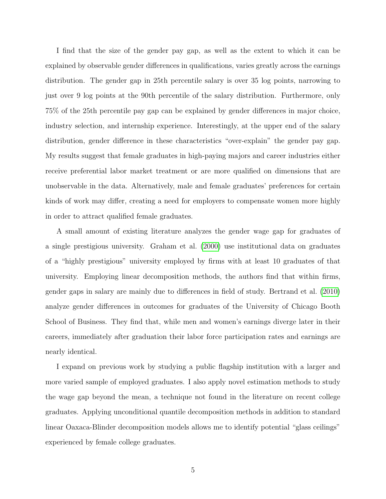I find that the size of the gender pay gap, as well as the extent to which it can be explained by observable gender differences in qualifications, varies greatly across the earnings distribution. The gender gap in 25th percentile salary is over 35 log points, narrowing to just over 9 log points at the 90th percentile of the salary distribution. Furthermore, only 75% of the 25th percentile pay gap can be explained by gender differences in major choice, industry selection, and internship experience. Interestingly, at the upper end of the salary distribution, gender difference in these characteristics "over-explain" the gender pay gap. My results suggest that female graduates in high-paying majors and career industries either receive preferential labor market treatment or are more qualified on dimensions that are unobservable in the data. Alternatively, male and female graduates' preferences for certain kinds of work may differ, creating a need for employers to compensate women more highly in order to attract qualified female graduates.

A small amount of existing literature analyzes the gender wage gap for graduates of a single prestigious university. Graham et al. [\(2000\)](#page-44-2) use institutional data on graduates of a "highly prestigious" university employed by firms with at least 10 graduates of that university. Employing linear decomposition methods, the authors find that within firms, gender gaps in salary are mainly due to differences in field of study. Bertrand et al. [\(2010\)](#page-42-1) analyze gender differences in outcomes for graduates of the University of Chicago Booth School of Business. They find that, while men and women's earnings diverge later in their careers, immediately after graduation their labor force participation rates and earnings are nearly identical.

I expand on previous work by studying a public flagship institution with a larger and more varied sample of employed graduates. I also apply novel estimation methods to study the wage gap beyond the mean, a technique not found in the literature on recent college graduates. Applying unconditional quantile decomposition methods in addition to standard linear Oaxaca-Blinder decomposition models allows me to identify potential "glass ceilings" experienced by female college graduates.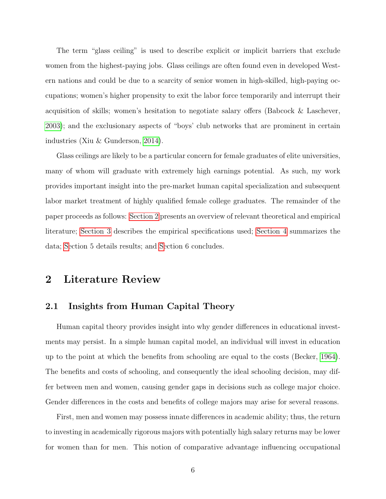The term "glass ceiling" is used to describe explicit or implicit barriers that exclude women from the highest-paying jobs. Glass ceilings are often found even in developed Western nations and could be due to a scarcity of senior women in high-skilled, high-paying occupations; women's higher propensity to exit the labor force temporarily and interrupt their acquisition of skills; women's hesitation to negotiate salary offers (Babcock & Laschever, [2003\)](#page-41-0); and the exclusionary aspects of "boys' club networks that are prominent in certain industries (Xiu & Gunderson, [2014\)](#page-48-0).

Glass ceilings are likely to be a particular concern for female graduates of elite universities, many of whom will graduate with extremely high earnings potential. As such, my work provides important insight into the pre-market human capital specialization and subsequent labor market treatment of highly qualified female college graduates. The remainder of the paper proceeds as follows: [Section 2](#page-6-0) presents an overview of relevant theoretical and empirical literature; [Section 3](#page-11-0) describes the empirical specifications used; [Section 4](#page-15-0) summarizes the data; [Se](#page-28-0)ction 5 details results; and [Se](#page-35-0)ction 6 concludes.

### <span id="page-6-0"></span>2 Literature Review

#### <span id="page-6-1"></span>2.1 Insights from Human Capital Theory

Human capital theory provides insight into why gender differences in educational investments may persist. In a simple human capital model, an individual will invest in education up to the point at which the benefits from schooling are equal to the costs (Becker, [1964\)](#page-41-1). The benefits and costs of schooling, and consequently the ideal schooling decision, may differ between men and women, causing gender gaps in decisions such as college major choice. Gender differences in the costs and benefits of college majors may arise for several reasons.

First, men and women may possess innate differences in academic ability; thus, the return to investing in academically rigorous majors with potentially high salary returns may be lower for women than for men. This notion of comparative advantage influencing occupational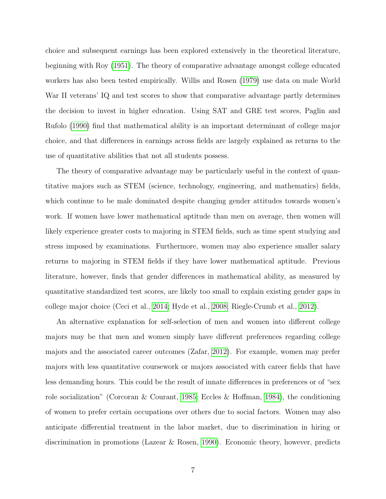choice and subsequent earnings has been explored extensively in the theoretical literature, beginning with Roy [\(1951\)](#page-46-1). The theory of comparative advantage amongst college educated workers has also been tested empirically. Willis and Rosen [\(1979\)](#page-47-2) use data on male World War II veterans' IQ and test scores to show that comparative advantage partly determines the decision to invest in higher education. Using SAT and GRE test scores, Paglin and Rufolo [\(1990\)](#page-46-2) find that mathematical ability is an important determinant of college major choice, and that differences in earnings across fields are largely explained as returns to the use of quantitative abilities that not all students possess.

The theory of comparative advantage may be particularly useful in the context of quantitative majors such as STEM (science, technology, engineering, and mathematics) fields, which continue to be male dominated despite changing gender attitudes towards women's work. If women have lower mathematical aptitude than men on average, then women will likely experience greater costs to majoring in STEM fields, such as time spent studying and stress imposed by examinations. Furthermore, women may also experience smaller salary returns to majoring in STEM fields if they have lower mathematical aptitude. Previous literature, however, finds that gender differences in mathematical ability, as measured by quantitative standardized test scores, are likely too small to explain existing gender gaps in college major choice (Ceci et al., [2014;](#page-42-2) Hyde et al., [2008;](#page-45-0) Riegle-Crumb et al., [2012\)](#page-46-3).

An alternative explanation for self-selection of men and women into different college majors may be that men and women simply have different preferences regarding college majors and the associated career outcomes (Zafar, [2012\)](#page-48-1). For example, women may prefer majors with less quantitative coursework or majors associated with career fields that have less demanding hours. This could be the result of innate differences in preferences or of "sex role socialization" (Corcoran & Courant, [1985;](#page-43-0) Eccles & Hoffman, [1984\)](#page-43-1), the conditioning of women to prefer certain occupations over others due to social factors. Women may also anticipate differential treatment in the labor market, due to discrimination in hiring or discrimination in promotions (Lazear & Rosen, [1990\)](#page-45-1). Economic theory, however, predicts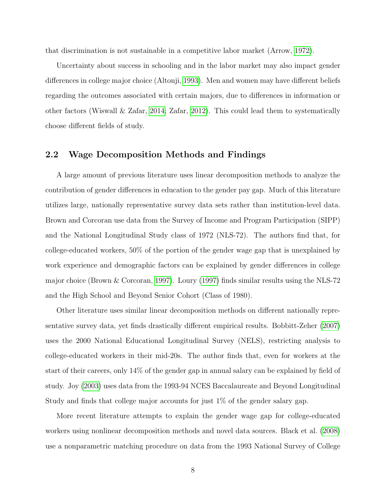that discrimination is not sustainable in a competitive labor market (Arrow, [1972\)](#page-41-2).

Uncertainty about success in schooling and in the labor market may also impact gender differences in college major choice (Altonji, [1993\)](#page-41-3). Men and women may have different beliefs regarding the outcomes associated with certain majors, due to differences in information or other factors (Wiswall & Zafar, [2014;](#page-47-3) Zafar, [2012\)](#page-48-1). This could lead them to systematically choose different fields of study.

#### <span id="page-8-0"></span>2.2 Wage Decomposition Methods and Findings

A large amount of previous literature uses linear decomposition methods to analyze the contribution of gender differences in education to the gender pay gap. Much of this literature utilizes large, nationally representative survey data sets rather than institution-level data. Brown and Corcoran use data from the Survey of Income and Program Participation (SIPP) and the National Longitudinal Study class of 1972 (NLS-72). The authors find that, for college-educated workers, 50% of the portion of the gender wage gap that is unexplained by work experience and demographic factors can be explained by gender differences in college major choice (Brown & Corcoran, [1997\)](#page-42-3). Loury [\(1997\)](#page-45-2) finds similar results using the NLS-72 and the High School and Beyond Senior Cohort (Class of 1980).

Other literature uses similar linear decomposition methods on different nationally representative survey data, yet finds drastically different empirical results. Bobbitt-Zeher [\(2007\)](#page-42-4) uses the 2000 National Educational Longitudinal Survey (NELS), restricting analysis to college-educated workers in their mid-20s. The author finds that, even for workers at the start of their careers, only 14% of the gender gap in annual salary can be explained by field of study. Joy [\(2003\)](#page-45-3) uses data from the 1993-94 NCES Baccalaureate and Beyond Longitudinal Study and finds that college major accounts for just 1% of the gender salary gap.

More recent literature attempts to explain the gender wage gap for college-educated workers using nonlinear decomposition methods and novel data sources. Black et al. [\(2008\)](#page-42-5) use a nonparametric matching procedure on data from the 1993 National Survey of College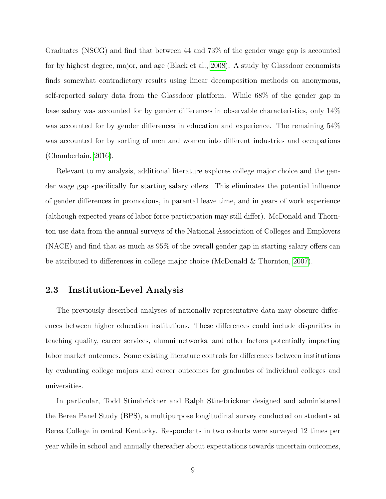Graduates (NSCG) and find that between 44 and 73% of the gender wage gap is accounted for by highest degree, major, and age (Black et al., [2008\)](#page-42-5). A study by Glassdoor economists finds somewhat contradictory results using linear decomposition methods on anonymous, self-reported salary data from the Glassdoor platform. While 68% of the gender gap in base salary was accounted for by gender differences in observable characteristics, only 14% was accounted for by gender differences in education and experience. The remaining 54% was accounted for by sorting of men and women into different industries and occupations (Chamberlain, [2016\)](#page-42-6).

Relevant to my analysis, additional literature explores college major choice and the gender wage gap specifically for starting salary offers. This eliminates the potential influence of gender differences in promotions, in parental leave time, and in years of work experience (although expected years of labor force participation may still differ). McDonald and Thornton use data from the annual surveys of the National Association of Colleges and Employers (NACE) and find that as much as 95% of the overall gender gap in starting salary offers can be attributed to differences in college major choice (McDonald & Thornton, [2007\)](#page-46-4).

#### <span id="page-9-0"></span>2.3 Institution-Level Analysis

The previously described analyses of nationally representative data may obscure differences between higher education institutions. These differences could include disparities in teaching quality, career services, alumni networks, and other factors potentially impacting labor market outcomes. Some existing literature controls for differences between institutions by evaluating college majors and career outcomes for graduates of individual colleges and universities.

In particular, Todd Stinebrickner and Ralph Stinebrickner designed and administered the Berea Panel Study (BPS), a multipurpose longitudinal survey conducted on students at Berea College in central Kentucky. Respondents in two cohorts were surveyed 12 times per year while in school and annually thereafter about expectations towards uncertain outcomes,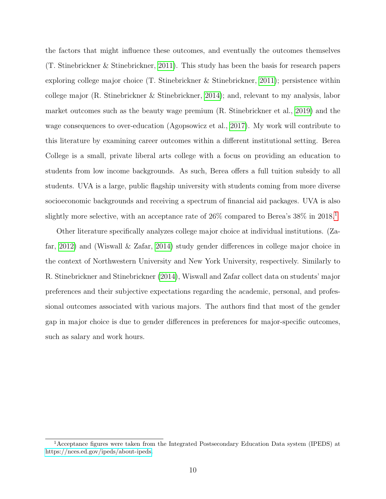the factors that might influence these outcomes, and eventually the outcomes themselves (T. Stinebrickner & Stinebrickner, [2011\)](#page-47-4). This study has been the basis for research papers exploring college major choice (T. Stinebrickner & Stinebrickner, [2011\)](#page-47-4); persistence within college major (R. Stinebrickner & Stinebrickner, [2014\)](#page-47-5); and, relevant to my analysis, labor market outcomes such as the beauty wage premium (R. Stinebrickner et al., [2019\)](#page-47-6) and the wage consequences to over-education (Agopsowicz et al., [2017\)](#page-41-4). My work will contribute to this literature by examining career outcomes within a different institutional setting. Berea College is a small, private liberal arts college with a focus on providing an education to students from low income backgrounds. As such, Berea offers a full tuition subsidy to all students. UVA is a large, public flagship university with students coming from more diverse socioeconomic backgrounds and receiving a spectrum of financial aid packages. UVA is also slightly more selective, with an acceptance rate of 26% compared to Berea's 38% in 20[1](#page-10-0)8.<sup>1</sup>

Other literature specifically analyzes college major choice at individual institutions. (Zafar, [2012\)](#page-48-1) and (Wiswall & Zafar, [2014\)](#page-47-3) study gender differences in college major choice in the context of Northwestern University and New York University, respectively. Similarly to R. Stinebrickner and Stinebrickner [\(2014\)](#page-47-5), Wiswall and Zafar collect data on students' major preferences and their subjective expectations regarding the academic, personal, and professional outcomes associated with various majors. The authors find that most of the gender gap in major choice is due to gender differences in preferences for major-specific outcomes, such as salary and work hours.

<span id="page-10-0"></span><sup>1</sup>Acceptance figures were taken from the Integrated Postsecondary Education Data system (IPEDS) at [https://nces.ed.gov/ipeds/about-ipeds.](https://nces.ed.gov/ipeds/about-ipeds)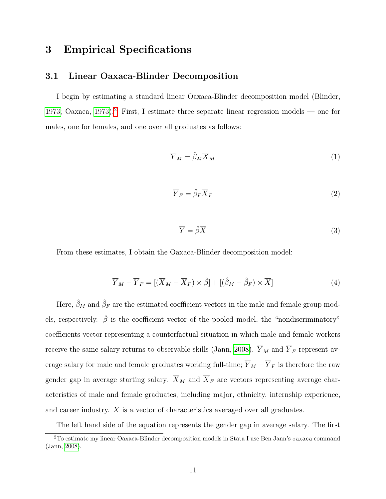### <span id="page-11-0"></span>3 Empirical Specifications

#### <span id="page-11-1"></span>3.1 Linear Oaxaca-Blinder Decomposition

I begin by estimating a standard linear Oaxaca-Blinder decomposition model (Blinder, [1973;](#page-42-7) Oaxaca, [1973\)](#page-46-5).<sup>[2](#page-11-2)</sup> First, I estimate three separate linear regression models — one for males, one for females, and one over all graduates as follows:

$$
\overline{Y}_M = \hat{\beta}_M \overline{X}_M \tag{1}
$$

$$
\overline{Y}_F = \hat{\beta}_F \overline{X}_F \tag{2}
$$

$$
\overline{Y} = \hat{\beta}\overline{X} \tag{3}
$$

From these estimates, I obtain the Oaxaca-Blinder decomposition model:

<span id="page-11-3"></span>
$$
\overline{Y}_M - \overline{Y}_F = [(\overline{X}_M - \overline{X}_F) \times \hat{\beta}] + [(\hat{\beta}_M - \hat{\beta}_F) \times \overline{X}]
$$
\n(4)

Here,  $\hat{\beta}_M$  and  $\hat{\beta}_F$  are the estimated coefficient vectors in the male and female group models, respectively.  $\hat{\beta}$  is the coefficient vector of the pooled model, the "nondiscriminatory" coefficients vector representing a counterfactual situation in which male and female workers receive the same salary returns to observable skills (Jann, [2008\)](#page-45-4).  $\overline{Y}_M$  and  $\overline{Y}_F$  represent average salary for male and female graduates working full-time;  $\overline{Y}_M - \overline{Y}_F$  is therefore the raw gender gap in average starting salary.  $\overline{X}_M$  and  $\overline{X}_F$  are vectors representing average characteristics of male and female graduates, including major, ethnicity, internship experience, and career industry.  $\overline{X}$  is a vector of characteristics averaged over all graduates.

The left hand side of the equation represents the gender gap in average salary. The first

<span id="page-11-2"></span><sup>2</sup>To estimate my linear Oaxaca-Blinder decomposition models in Stata I use Ben Jann's oaxaca command (Jann, [2008\)](#page-45-4).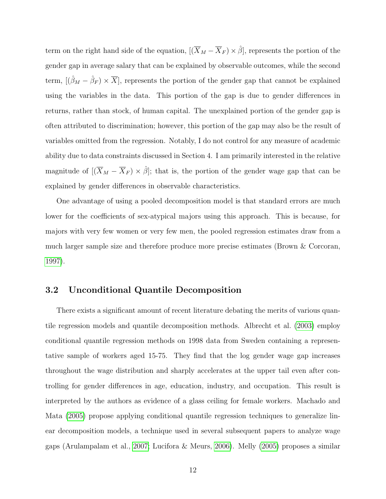term on the right hand side of the equation,  $[(\overline{X}_M - \overline{X}_F) \times \hat{\beta}]$ , represents the portion of the gender gap in average salary that can be explained by observable outcomes, while the second term,  $[(\hat{\beta}_M - \hat{\beta}_F) \times \overline{X}]$ , represents the portion of the gender gap that cannot be explained using the variables in the data. This portion of the gap is due to gender differences in returns, rather than stock, of human capital. The unexplained portion of the gender gap is often attributed to discrimination; however, this portion of the gap may also be the result of variables omitted from the regression. Notably, I do not control for any measure of academic ability due to data constraints discussed in Section 4. I am primarily interested in the relative magnitude of  $[(\overline{X}_M - \overline{X}_F) \times \hat{\beta}]$ ; that is, the portion of the gender wage gap that can be explained by gender differences in observable characteristics.

One advantage of using a pooled decomposition model is that standard errors are much lower for the coefficients of sex-atypical majors using this approach. This is because, for majors with very few women or very few men, the pooled regression estimates draw from a much larger sample size and therefore produce more precise estimates (Brown & Corcoran, [1997\)](#page-42-3).

#### <span id="page-12-0"></span>3.2 Unconditional Quantile Decomposition

There exists a significant amount of recent literature debating the merits of various quantile regression models and quantile decomposition methods. Albrecht et al. [\(2003\)](#page-41-5) employ conditional quantile regression methods on 1998 data from Sweden containing a representative sample of workers aged 15-75. They find that the log gender wage gap increases throughout the wage distribution and sharply accelerates at the upper tail even after controlling for gender differences in age, education, industry, and occupation. This result is interpreted by the authors as evidence of a glass ceiling for female workers. Machado and Mata [\(2005\)](#page-45-5) propose applying conditional quantile regression techniques to generalize linear decomposition models, a technique used in several subsequent papers to analyze wage gaps (Arulampalam et al., [2007;](#page-41-6) Lucifora & Meurs, [2006\)](#page-45-6). Melly [\(2005\)](#page-46-6) proposes a similar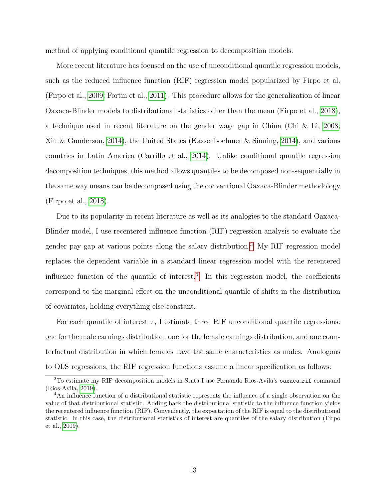method of applying conditional quantile regression to decomposition models.

More recent literature has focused on the use of unconditional quantile regression models, such as the reduced influence function (RIF) regression model popularized by Firpo et al. (Firpo et al., [2009;](#page-43-2) Fortin et al., [2011\)](#page-44-3). This procedure allows for the generalization of linear Oaxaca-Blinder models to distributional statistics other than the mean (Firpo et al., [2018\)](#page-43-3), a technique used in recent literature on the gender wage gap in China (Chi & Li, [2008;](#page-43-4) Xiu & Gunderson, [2014\)](#page-48-0), the United States (Kassenboehmer & Sinning, [2014\)](#page-45-7), and various countries in Latin America (Carrillo et al., [2014\)](#page-42-8). Unlike conditional quantile regression decomposition techniques, this method allows quantiles to be decomposed non-sequentially in the same way means can be decomposed using the conventional Oaxaca-Blinder methodology (Firpo et al., [2018\)](#page-43-3).

Due to its popularity in recent literature as well as its analogies to the standard Oaxaca-Blinder model, I use recentered influence function (RIF) regression analysis to evaluate the gender pay gap at various points along the salary distribution.[3](#page-13-0) My RIF regression model replaces the dependent variable in a standard linear regression model with the recentered influence function of the quantile of interest.[4](#page-13-1) In this regression model, the coefficients correspond to the marginal effect on the unconditional quantile of shifts in the distribution of covariates, holding everything else constant.

For each quantile of interest  $\tau$ , I estimate three RIF unconditional quantile regressions: one for the male earnings distribution, one for the female earnings distribution, and one counterfactual distribution in which females have the same characteristics as males. Analogous to OLS regressions, the RIF regression functions assume a linear specification as follows:

<span id="page-13-0"></span><sup>&</sup>lt;sup>3</sup>To estimate my RIF decomposition models in Stata I use Fernando Rios-Avila's oaxaca\_rif command (Rios-Avila, [2019\)](#page-46-7).

<span id="page-13-1"></span><sup>&</sup>lt;sup>4</sup>An influence function of a distributional statistic represents the influence of a single observation on the value of that distributional statistic. Adding back the distributional statistic to the influence function yields the recentered influence function (RIF). Conveniently, the expectation of the RIF is equal to the distributional statistic. In this case, the distributional statistics of interest are quantiles of the salary distribution (Firpo et al., [2009\)](#page-43-2).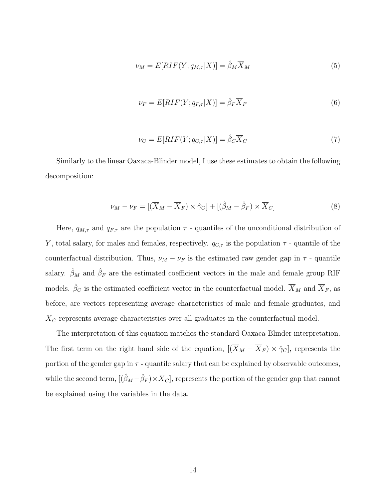$$
\nu_M = E[RIF(Y; q_{M,\tau}|X)] = \hat{\beta}_M \overline{X}_M \tag{5}
$$

$$
\nu_F = E[RIF(Y; q_{F,\tau}|X)] = \hat{\beta}_F \overline{X}_F
$$
\n(6)

$$
\nu_C = E[RIF(Y; q_{C,\tau}|X)] = \hat{\beta}_C \overline{X}_C \tag{7}
$$

Similarly to the linear Oaxaca-Blinder model, I use these estimates to obtain the following decomposition:

<span id="page-14-0"></span>
$$
\nu_M - \nu_F = [(\overline{X}_M - \overline{X}_F) \times \hat{\gamma}_C] + [(\hat{\beta}_M - \hat{\beta}_F) \times \overline{X}_C]
$$
(8)

Here,  $q_{M,\tau}$  and  $q_{F,\tau}$  are the population  $\tau$  - quantiles of the unconditional distribution of Y, total salary, for males and females, respectively.  $q_{C,\tau}$  is the population  $\tau$  - quantile of the counterfactual distribution. Thus,  $\nu_M - \nu_F$  is the estimated raw gender gap in  $\tau$  - quantile salary.  $\hat{\beta}_M$  and  $\hat{\beta}_F$  are the estimated coefficient vectors in the male and female group RIF models.  $\hat{\beta}_C$  is the estimated coefficient vector in the counterfactual model.  $\overline{X}_M$  and  $\overline{X}_F$ , as before, are vectors representing average characteristics of male and female graduates, and  $\overline{X}_C$  represents average characteristics over all graduates in the counterfactual model.

The interpretation of this equation matches the standard Oaxaca-Blinder interpretation. The first term on the right hand side of the equation,  $[(\overline{X}_M - \overline{X}_F) \times \hat{\gamma}_C]$ , represents the portion of the gender gap in  $\tau$  - quantile salary that can be explained by observable outcomes, while the second term,  $[(\hat{\beta}_M - \hat{\beta}_F) \times \overline{X}_C]$ , represents the portion of the gender gap that cannot be explained using the variables in the data.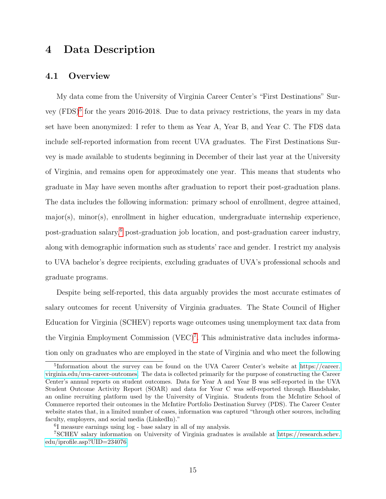### <span id="page-15-0"></span>4 Data Description

#### <span id="page-15-1"></span>4.1 Overview

My data come from the University of Virginia Career Center's "First Destinations" Sur-vey (FDS)<sup>[5](#page-15-2)</sup> for the years 2016-2018. Due to data privacy restrictions, the years in my data set have been anonymized: I refer to them as Year A, Year B, and Year C. The FDS data include self-reported information from recent UVA graduates. The First Destinations Survey is made available to students beginning in December of their last year at the University of Virginia, and remains open for approximately one year. This means that students who graduate in May have seven months after graduation to report their post-graduation plans. The data includes the following information: primary school of enrollment, degree attained,  $\text{major}(s)$ , minor(s), enrollment in higher education, undergraduate internship experience, post-graduation salary,[6](#page-15-3) post-graduation job location, and post-graduation career industry, along with demographic information such as students' race and gender. I restrict my analysis to UVA bachelor's degree recipients, excluding graduates of UVA's professional schools and graduate programs.

Despite being self-reported, this data arguably provides the most accurate estimates of salary outcomes for recent University of Virginia graduates. The State Council of Higher Education for Virginia (SCHEV) reports wage outcomes using unemployment tax data from the Virginia Employment Commission (VEC)<sup>[7](#page-15-4)</sup>. This administrative data includes information only on graduates who are employed in the state of Virginia and who meet the following

<span id="page-15-2"></span><sup>&</sup>lt;sup>5</sup>Information about the survey can be found on the UVA Career Center's website at [https://career.](https://career.virginia.edu/uva-career-outcomes) [virginia.edu/uva-career-outcomes.](https://career.virginia.edu/uva-career-outcomes) The data is collected primarily for the purpose of constructing the Career Center's annual reports on student outcomes. Data for Year A and Year B was self-reported in the UVA Student Outcome Activity Report (SOAR) and data for Year C was self-reported through Handshake, an online recruiting platform used by the University of Virginia. Students from the McIntire School of Commerce reported their outcomes in the McIntire Portfolio Destination Survey (PDS). The Career Center website states that, in a limited number of cases, information was captured "through other sources, including faculty, employers, and social media (LinkedIn)."

<span id="page-15-4"></span><span id="page-15-3"></span><sup>6</sup> I measure earnings using log - base salary in all of my analysis.

<sup>7</sup>SCHEV salary information on University of Virginia graduates is available at [https://research.schev.](https://research.schev.edu/iprofile.asp?UID=234076) [edu/iprofile.asp?UID=234076.](https://research.schev.edu/iprofile.asp?UID=234076)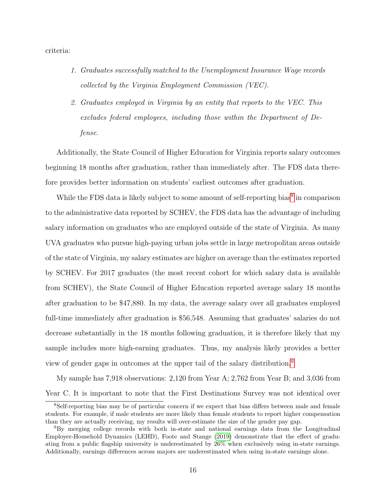criteria:

- 1. Graduates successfully matched to the Unemployment Insurance Wage records collected by the Virginia Employment Commission (VEC).
- 2. Graduates employed in Virginia by an entity that reports to the VEC. This excludes federal employees, including those within the Department of Defense.

Additionally, the State Council of Higher Education for Virginia reports salary outcomes beginning 18 months after graduation, rather than immediately after. The FDS data therefore provides better information on students' earliest outcomes after graduation.

While the FDS data is likely subject to some amount of self-reporting bias<sup>[8](#page-16-0)</sup> in comparison to the administrative data reported by SCHEV, the FDS data has the advantage of including salary information on graduates who are employed outside of the state of Virginia. As many UVA graduates who pursue high-paying urban jobs settle in large metropolitan areas outside of the state of Virginia, my salary estimates are higher on average than the estimates reported by SCHEV. For 2017 graduates (the most recent cohort for which salary data is available from SCHEV), the State Council of Higher Education reported average salary 18 months after graduation to be \$47,880. In my data, the average salary over all graduates employed full-time immediately after graduation is \$56,548. Assuming that graduates' salaries do not decrease substantially in the 18 months following graduation, it is therefore likely that my sample includes more high-earning graduates. Thus, my analysis likely provides a better view of gender gaps in outcomes at the upper tail of the salary distribution.[9](#page-16-1)

My sample has 7,918 observations: 2,120 from Year A; 2,762 from Year B; and 3,036 from Year C. It is important to note that the First Destinations Survey was not identical over

<span id="page-16-0"></span><sup>8</sup>Self-reporting bias may be of particular concern if we expect that bias differs between male and female students. For example, if male students are more likely than female students to report higher compensation than they are actually receiving, my results will over-estimate the size of the gender pay gap.

<span id="page-16-1"></span><sup>9</sup>By merging college records with both in-state and national earnings data from the Longitudinal Employer-Household Dynamics (LEHD), Foote and Stange [\(2019\)](#page-43-5) demonstrate that the effect of graduating from a public flagship university is underestimated by 26% when exclusively using in-state earnings. Additionally, earnings differences across majors are underestimated when using in-state earnings alone.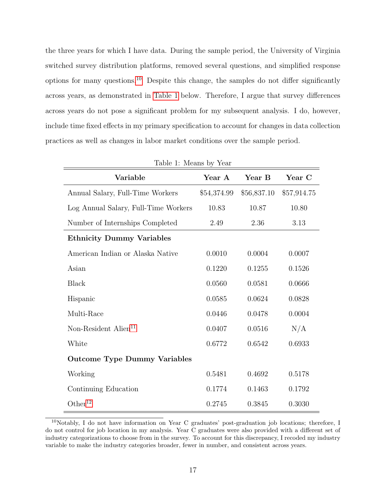the three years for which I have data. During the sample period, the University of Virginia switched survey distribution platforms, removed several questions, and simplified response options for many questions.[10](#page-17-0) Despite this change, the samples do not differ significantly across years, as demonstrated in [Table 1](#page-17-1) below. Therefore, I argue that survey differences across years do not pose a significant problem for my subsequent analysis. I do, however, include time fixed effects in my primary specification to account for changes in data collection practices as well as changes in labor market conditions over the sample period.

<span id="page-17-1"></span>

| Variable                             | Year A      | Year B      | Year C      |  |  |  |  |  |  |  |  |
|--------------------------------------|-------------|-------------|-------------|--|--|--|--|--|--|--|--|
| Annual Salary, Full-Time Workers     | \$54,374.99 | \$56,837.10 | \$57,914.75 |  |  |  |  |  |  |  |  |
| Log Annual Salary, Full-Time Workers | 10.83       | 10.87       | 10.80       |  |  |  |  |  |  |  |  |
| Number of Internships Completed      | 2.49        | 2.36        | 3.13        |  |  |  |  |  |  |  |  |
| <b>Ethnicity Dummy Variables</b>     |             |             |             |  |  |  |  |  |  |  |  |
| American Indian or Alaska Native     | 0.0010      | 0.0004      | 0.0007      |  |  |  |  |  |  |  |  |
| Asian                                | 0.1220      | 0.1255      | 0.1526      |  |  |  |  |  |  |  |  |
| <b>Black</b>                         | 0.0560      | 0.0581      | 0.0666      |  |  |  |  |  |  |  |  |
| Hispanic                             | 0.0585      | 0.0624      | 0.0828      |  |  |  |  |  |  |  |  |
| Multi-Race                           | 0.0446      | 0.0478      | 0.0004      |  |  |  |  |  |  |  |  |
| Non-Resident Alien <sup>11</sup>     | 0.0407      | 0.0516      | N/A         |  |  |  |  |  |  |  |  |
| White                                | 0.6772      | 0.6542      | 0.6933      |  |  |  |  |  |  |  |  |
| <b>Outcome Type Dummy Variables</b>  |             |             |             |  |  |  |  |  |  |  |  |
| Working                              | 0.5481      | 0.4692      | 0.5178      |  |  |  |  |  |  |  |  |
| Continuing Education                 | 0.1774      | 0.1463      | 0.1792      |  |  |  |  |  |  |  |  |
| Other <sup>12</sup>                  | 0.2745      | 0.3845      | 0.3030      |  |  |  |  |  |  |  |  |

|  |  | Table 1: Means by Year |  |  |
|--|--|------------------------|--|--|
|--|--|------------------------|--|--|

<span id="page-17-0"></span><sup>10</sup>Notably, I do not have information on Year C graduates' post-graduation job locations; therefore, I do not control for job location in my analysis. Year C graduates were also provided with a different set of industry categorizations to choose from in the survey. To account for this discrepancy, I recoded my industry variable to make the industry categories broader, fewer in number, and consistent across years.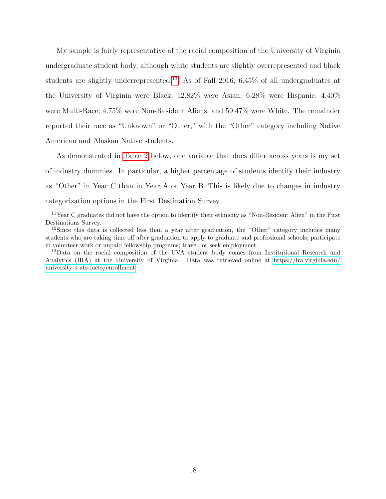My sample is fairly representative of the racial composition of the University of Virginia undergraduate student body, although white students are slightly overrepresented and black students are slightly underrepresented.[13](#page-18-2) As of Fall 2016, 6.45% of all undergraduates at the University of Virginia were Black; 12.82% were Asian; 6.28% were Hispanic; 4.40% were Multi-Race; 4.75% were Non-Resident Aliens; and 59.47% were White. The remainder reported their race as "Unknown" or "Other," with the "Other" category including Native American and Alaskan Native students.

As demonstrated in [Table 2](#page-19-0) below, one variable that does differ across years is my set of industry dummies. In particular, a higher percentage of students identify their industry as "Other" in Year C than in Year A or Year B. This is likely due to changes in industry categorization options in the First Destination Survey.

<span id="page-18-0"></span><sup>11</sup>Year C graduates did not have the option to identify their ethnicity as "Non-Resident Alien" in the First Destinations Survey.

<span id="page-18-1"></span> $12$ Since this data is collected less than a year after graduation, the "Other" category includes many students who are taking time off after graduation to apply to graduate and professional schools; participate in volunteer work or unpaid fellowship programs; travel; or seek employment.

<span id="page-18-2"></span><sup>&</sup>lt;sup>13</sup>Data on the racial composition of the UVA student body comes from Institutional Research and Analytics (IRA) at the University of Virginia. Data was retrieved online at [https://ira.virginia.edu/](https://ira.virginia.edu/university-stats-facts/enrollment) [university-stats-facts/enrollment.](https://ira.virginia.edu/university-stats-facts/enrollment)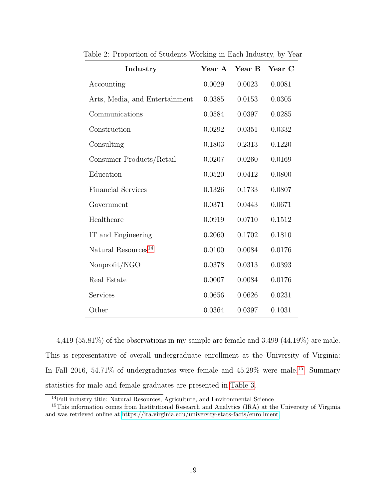| Industry                        | Year A | Year B | Year C |
|---------------------------------|--------|--------|--------|
| Accounting                      | 0.0029 | 0.0023 | 0.0081 |
| Arts, Media, and Entertainment  | 0.0385 | 0.0153 | 0.0305 |
| Communications                  | 0.0584 | 0.0397 | 0.0285 |
| Construction                    | 0.0292 | 0.0351 | 0.0332 |
| Consulting                      | 0.1803 | 0.2313 | 0.1220 |
| Consumer Products/Retail        | 0.0207 | 0.0260 | 0.0169 |
| Education                       | 0.0520 | 0.0412 | 0.0800 |
| <b>Financial Services</b>       | 0.1326 | 0.1733 | 0.0807 |
| Government                      | 0.0371 | 0.0443 | 0.0671 |
| Healthcare                      | 0.0919 | 0.0710 | 0.1512 |
| IT and Engineering              | 0.2060 | 0.1702 | 0.1810 |
| Natural Resources <sup>14</sup> | 0.0100 | 0.0084 | 0.0176 |
| Nonprofit/NGO                   | 0.0378 | 0.0313 | 0.0393 |
| Real Estate                     | 0.0007 | 0.0084 | 0.0176 |
| Services                        | 0.0656 | 0.0626 | 0.0231 |
| Other                           | 0.0364 | 0.0397 | 0.1031 |

<span id="page-19-0"></span>Table 2: Proportion of Students Working in Each Industry, by Year

4,419 (55.81%) of the observations in my sample are female and 3.499 (44.19%) are male. This is representative of overall undergraduate enrollment at the University of Virginia: In Fall 2016, 54.71% of undergraduates were female and  $45.29\%$  were male.<sup>[15](#page-19-2)</sup> Summary statistics for male and female graduates are presented in [Table 3.](#page-20-0)

<span id="page-19-2"></span><span id="page-19-1"></span><sup>&</sup>lt;sup>14</sup>Full industry title: Natural Resources, Agriculture, and Environmental Science

<sup>&</sup>lt;sup>15</sup>This information comes from Institutional Research and Analytics (IRA) at the University of Virginia and was retrieved online at [https://ira.virginia.edu/university-stats-facts/enrollment.](https://ira.virginia.edu/university-stats-facts/enrollment)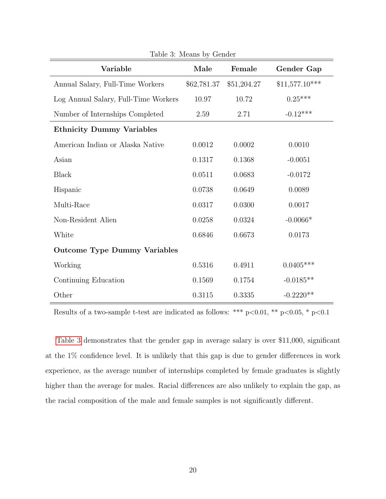<span id="page-20-0"></span>

| Variable                             | Male        | Female      | Gender Gap      |
|--------------------------------------|-------------|-------------|-----------------|
| Annual Salary, Full-Time Workers     | \$62,781.37 | \$51,204.27 | $$11,577.10***$ |
| Log Annual Salary, Full-Time Workers | 10.97       | 10.72       | $0.25***$       |
| Number of Internships Completed      | 2.59        | 2.71        | $-0.12***$      |
| <b>Ethnicity Dummy Variables</b>     |             |             |                 |
| American Indian or Alaska Native     | 0.0012      | 0.0002      | 0.0010          |
| Asian                                | 0.1317      | 0.1368      | $-0.0051$       |
| <b>Black</b>                         | 0.0511      | 0.0683      | $-0.0172$       |
| Hispanic                             | 0.0738      | 0.0649      | 0.0089          |
| Multi-Race                           | 0.0317      | 0.0300      | 0.0017          |
| Non-Resident Alien                   | 0.0258      | 0.0324      | $-0.0066*$      |
| White                                | 0.6846      | 0.6673      | 0.0173          |
| <b>Outcome Type Dummy Variables</b>  |             |             |                 |
| Working                              | 0.5316      | 0.4911      | $0.0405***$     |
| Continuing Education                 | 0.1569      | 0.1754      | $-0.0185**$     |
| Other                                | 0.3115      | 0.3335      | $-0.2220**$     |

Table 3: Means by Gender

Results of a two-sample t-test are indicated as follows: \*\*\* p<0.01, \*\* p<0.05, \* p<0.1

[Table 3](#page-20-0) demonstrates that the gender gap in average salary is over \$11,000, significant at the 1% confidence level. It is unlikely that this gap is due to gender differences in work experience, as the average number of internships completed by female graduates is slightly higher than the average for males. Racial differences are also unlikely to explain the gap, as the racial composition of the male and female samples is not significantly different.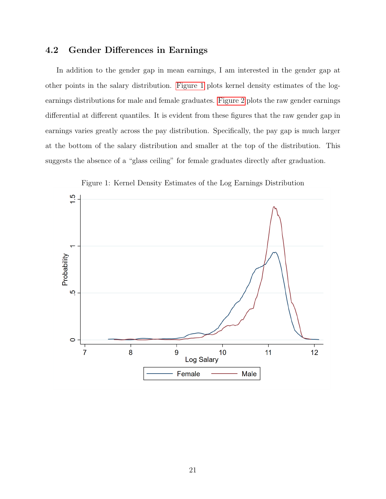#### <span id="page-21-0"></span>4.2 Gender Differences in Earnings

In addition to the gender gap in mean earnings, I am interested in the gender gap at other points in the salary distribution. [Figure 1](#page-21-1) plots kernel density estimates of the logearnings distributions for male and female graduates. [Figure 2](#page-22-1) plots the raw gender earnings differential at different quantiles. It is evident from these figures that the raw gender gap in earnings varies greatly across the pay distribution. Specifically, the pay gap is much larger at the bottom of the salary distribution and smaller at the top of the distribution. This suggests the absence of a "glass ceiling" for female graduates directly after graduation.

<span id="page-21-1"></span>

Figure 1: Kernel Density Estimates of the Log Earnings Distribution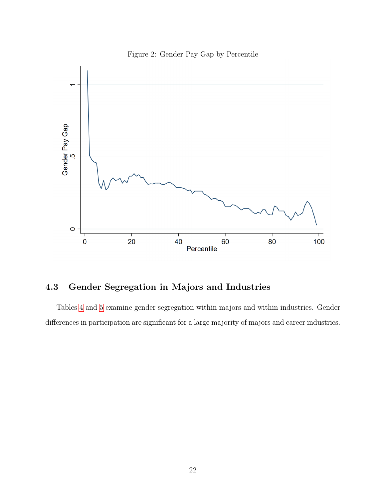<span id="page-22-1"></span>

Figure 2: Gender Pay Gap by Percentile

### <span id="page-22-0"></span>4.3 Gender Segregation in Majors and Industries

Tables [4](#page-23-0) and [5](#page-24-0) examine gender segregation within majors and within industries. Gender differences in participation are significant for a large majority of majors and career industries.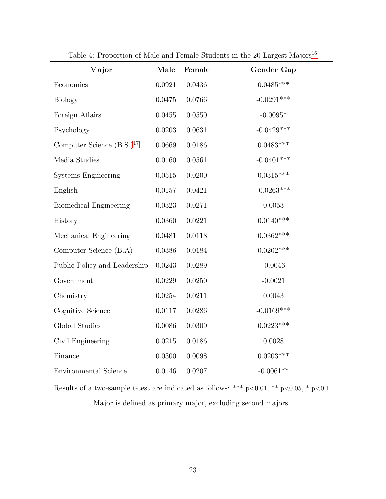<span id="page-23-0"></span>

| Major                                   | Male       | Female | Gender Gap   |
|-----------------------------------------|------------|--------|--------------|
| Economics                               | 0.0921     | 0.0436 | $0.0485***$  |
| <b>Biology</b>                          | 0.0475     | 0.0766 | $-0.0291***$ |
| Foreign Affairs                         | 0.0455     | 0.0550 | $-0.0095*$   |
| Psychology                              | 0.0203     | 0.0631 | $-0.0429***$ |
| Computer Science $(B.S.)$ <sup>17</sup> | 0.0669     | 0.0186 | $0.0483***$  |
| Media Studies                           | 0.0160     | 0.0561 | $-0.0401***$ |
| Systems Engineering                     | 0.0515     | 0.0200 | $0.0315***$  |
| English                                 | 0.0157     | 0.0421 | $-0.0263***$ |
| Biomedical Engineering                  | 0.0323     | 0.0271 | 0.0053       |
| History                                 | 0.0360     | 0.0221 | $0.0140***$  |
| Mechanical Engineering                  | 0.0481     | 0.0118 | $0.0362***$  |
| Computer Science (B.A)                  | $0.0386\,$ | 0.0184 | $0.0202***$  |
| Public Policy and Leadership            | 0.0243     | 0.0289 | $-0.0046$    |
| Government                              | 0.0229     | 0.0250 | $-0.0021$    |
| Chemistry                               | 0.0254     | 0.0211 | 0.0043       |
| Cognitive Science                       | 0.0117     | 0.0286 | $-0.0169***$ |
| Global Studies                          | 0.0086     | 0.0309 | $0.0223***$  |
| Civil Engineering                       | 0.0215     | 0.0186 | 0.0028       |
| Finance                                 | 0.0300     | 0.0098 | $0.0203***$  |
| <b>Environmental Science</b>            | 0.0146     | 0.0207 | $-0.0061**$  |

Table 4: Proportion of Male and Female Students in the 20 Largest Majors<sup>[16](#page-24-1)</sup>

Results of a two-sample t-test are indicated as follows: \*\*\* p<0.01, \*\* p<0.05, \* p<0.1 Major is defined as primary major, excluding second majors.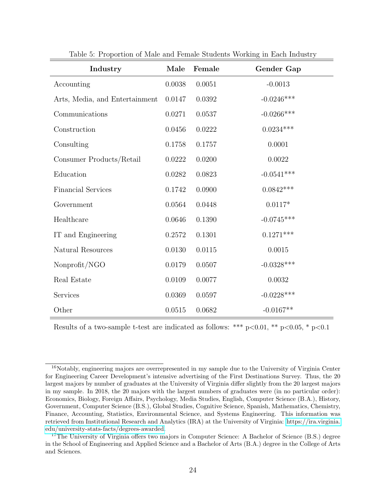<span id="page-24-0"></span>

| Industry                       | Male       | Female | Gender Gap   |
|--------------------------------|------------|--------|--------------|
| Accounting                     | 0.0038     | 0.0051 | $-0.0013$    |
| Arts, Media, and Entertainment | 0.0147     | 0.0392 | $-0.0246***$ |
| $Communications$               | 0.0271     | 0.0537 | $-0.0266***$ |
| Construction                   | 0.0456     | 0.0222 | $0.0234***$  |
| Consulting                     | $0.1758\,$ | 0.1757 | 0.0001       |
| Consumer Products/Retail       | 0.0222     | 0.0200 | 0.0022       |
| Education                      | 0.0282     | 0.0823 | $-0.0541***$ |
| <b>Financial Services</b>      | 0.1742     | 0.0900 | $0.0842***$  |
| Government                     | 0.0564     | 0.0448 | $0.0117*$    |
| Healthcare                     | 0.0646     | 0.1390 | $-0.0745***$ |
| IT and Engineering             | 0.2572     | 0.1301 | $0.1271***$  |
| Natural Resources              | 0.0130     | 0.0115 | 0.0015       |
| Nonprofit/NGO                  | 0.0179     | 0.0507 | $-0.0328***$ |
| Real Estate                    | 0.0109     | 0.0077 | 0.0032       |
| Services                       | 0.0369     | 0.0597 | $-0.0228***$ |
| Other                          | 0.0515     | 0.0682 | $-0.0167**$  |

Table 5: Proportion of Male and Female Students Working in Each Industry

Results of a two-sample t-test are indicated as follows: \*\*\*  $p<0.01$ , \*\*  $p<0.05$ , \*  $p<0.1$ 

<span id="page-24-1"></span><sup>16</sup>Notably, engineering majors are overrepresented in my sample due to the University of Virginia Center for Engineering Career Development's intensive advertising of the First Destinations Survey. Thus, the 20 largest majors by number of graduates at the University of Virginia differ slightly from the 20 largest majors in my sample. In 2018, the 20 majors with the largest numbers of graduates were (in no particular order): Economics, Biology, Foreign Affairs, Psychology, Media Studies, English, Computer Science (B.A.), History, Government, Computer Science (B.S.), Global Studies, Cognitive Science, Spanish, Mathematics, Chemistry, Finance, Accounting, Statistics, Environmental Science, and Systems Engineering. This information was retrieved from Institutional Research and Analytics (IRA) at the University of Virginia: [https://ira.virginia.](https://ira.virginia.edu/university-stats-facts/degrees-awarded) [edu/university-stats-facts/degrees-awarded.](https://ira.virginia.edu/university-stats-facts/degrees-awarded)

<span id="page-24-2"></span><sup>&</sup>lt;sup>17</sup>The University of Virginia offers two majors in Computer Science: A Bachelor of Science (B.S.) degree in the School of Engineering and Applied Science and a Bachelor of Arts (B.A.) degree in the College of Arts and Sciences.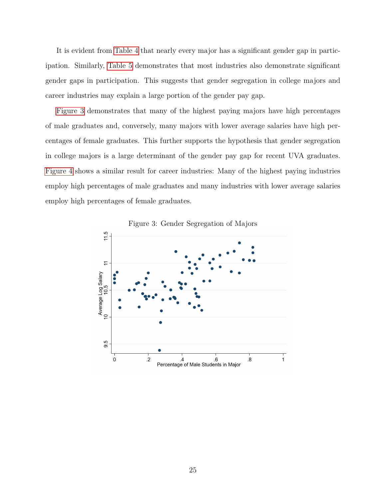It is evident from [Table 4](#page-23-0) that nearly every major has a significant gender gap in participation. Similarly, [Table 5](#page-24-0) demonstrates that most industries also demonstrate significant gender gaps in participation. This suggests that gender segregation in college majors and career industries may explain a large portion of the gender pay gap.

[Figure 3](#page-25-0) demonstrates that many of the highest paying majors have high percentages of male graduates and, conversely, many majors with lower average salaries have high percentages of female graduates. This further supports the hypothesis that gender segregation in college majors is a large determinant of the gender pay gap for recent UVA graduates. [Figure 4](#page-26-0) shows a similar result for career industries: Many of the highest paying industries employ high percentages of male graduates and many industries with lower average salaries employ high percentages of female graduates.

<span id="page-25-0"></span>

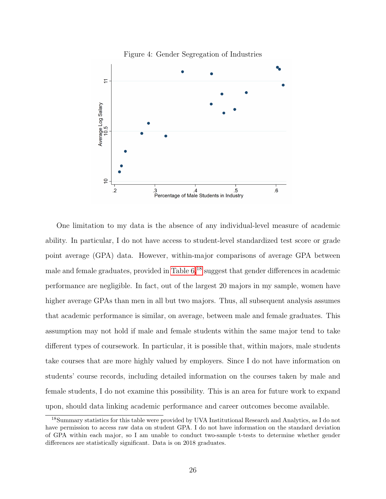<span id="page-26-0"></span>

One limitation to my data is the absence of any individual-level measure of academic ability. In particular, I do not have access to student-level standardized test score or grade point average (GPA) data. However, within-major comparisons of average GPA between male and female graduates, provided in Table  $6<sup>18</sup>$  $6<sup>18</sup>$  $6<sup>18</sup>$  suggest that gender differences in academic performance are negligible. In fact, out of the largest 20 majors in my sample, women have higher average GPAs than men in all but two majors. Thus, all subsequent analysis assumes that academic performance is similar, on average, between male and female graduates. This assumption may not hold if male and female students within the same major tend to take different types of coursework. In particular, it is possible that, within majors, male students take courses that are more highly valued by employers. Since I do not have information on students' course records, including detailed information on the courses taken by male and female students, I do not examine this possibility. This is an area for future work to expand upon, should data linking academic performance and career outcomes become available.

<span id="page-26-1"></span><sup>18</sup>Summary statistics for this table were provided by UVA Institutional Research and Analytics, as I do not have permission to access raw data on student GPA. I do not have information on the standard deviation of GPA within each major, so I am unable to conduct two-sample t-tests to determine whether gender differences are statistically significant. Data is on 2018 graduates.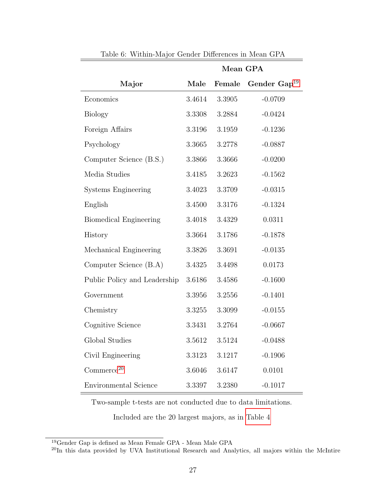<span id="page-27-0"></span>

|                               |        | Mean GPA |                   |
|-------------------------------|--------|----------|-------------------|
| Major                         | Male   | Female   | Gender $Gap^{19}$ |
| Economics                     | 3.4614 | 3.3905   | $-0.0709$         |
| <b>Biology</b>                | 3.3308 | 3.2884   | $-0.0424$         |
| Foreign Affairs               | 3.3196 | 3.1959   | $-0.1236$         |
| Psychology                    | 3.3665 | 3.2778   | $-0.0887$         |
| Computer Science (B.S.)       | 3.3866 | 3.3666   | $-0.0200$         |
| Media Studies                 | 3.4185 | 3.2623   | $-0.1562$         |
| <b>Systems Engineering</b>    | 3.4023 | 3.3709   | $-0.0315$         |
| English                       | 3.4500 | 3.3176   | $-0.1324$         |
| <b>Biomedical Engineering</b> | 3.4018 | 3.4329   | 0.0311            |
| History                       | 3.3664 | 3.1786   | $-0.1878$         |
| Mechanical Engineering        | 3.3826 | 3.3691   | $-0.0135$         |
| Computer Science (B.A)        | 3.4325 | 3.4498   | 0.0173            |
| Public Policy and Leadership  | 3.6186 | 3.4586   | $-0.1600$         |
| Government                    | 3.3956 | 3.2556   | $-0.1401$         |
| Chemistry                     | 3.3255 | 3.3099   | $-0.0155$         |
| Cognitive Science             | 3.3431 | 3.2764   | $-0.0667$         |
| Global Studies                | 3.5612 | 3.5124   | $-0.0488$         |
| Civil Engineering             | 3.3123 | 3.1217   | $-0.1906$         |
| Commerce <sup>20</sup>        | 3.6046 | 3.6147   | 0.0101            |
| Environmental Science         | 3.3397 | 3.2380   | $-0.1017$         |

Table 6: Within-Major Gender Differences in Mean GPA

Two-sample t-tests are not conducted due to data limitations.

Included are the 20 largest majors, as in [Table 4](#page-23-0)

<span id="page-27-1"></span> $^{19}\rm{Gender}$  Gap is defined as Mean Female GPA - Mean Male GPA

<span id="page-27-2"></span><sup>&</sup>lt;sup>20</sup>In this data provided by UVA Institutional Research and Analytics, all majors within the McIntire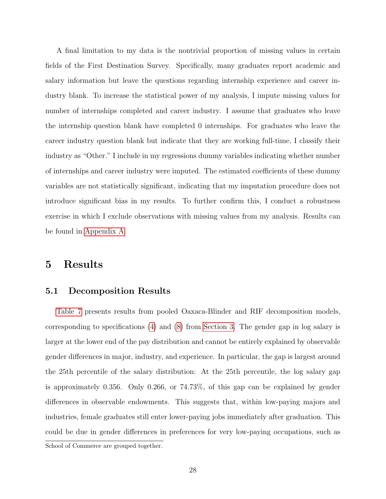A final limitation to my data is the nontrivial proportion of missing values in certain fields of the First Destination Survey. Specifically, many graduates report academic and salary information but leave the questions regarding internship experience and career industry blank. To increase the statistical power of my analysis, I impute missing values for number of internships completed and career industry. I assume that graduates who leave the internship question blank have completed 0 internships. For graduates who leave the career industry question blank but indicate that they are working full-time, I classify their industry as "Other." I include in my regressions dummy variables indicating whether number of internships and career industry were imputed. The estimated coefficients of these dummy variables are not statistically significant, indicating that my imputation procedure does not introduce significant bias in my results. To further confirm this, I conduct a robustness exercise in which I exclude observations with missing values from my analysis. Results can be found in [Appendix A.](#page-38-0)

### <span id="page-28-0"></span>5 Results

#### <span id="page-28-1"></span>5.1 Decomposition Results

[Table 7](#page-30-0) presents results from pooled Oaxaca-Blinder and RIF decomposition models, corresponding to specifications [\(4\)](#page-11-3) and [\(8\)](#page-14-0) from [Section 3.](#page-11-0) The gender gap in log salary is larger at the lower end of the pay distribution and cannot be entirely explained by observable gender differences in major, industry, and experience. In particular, the gap is largest around the 25th percentile of the salary distribution: At the 25th percentile, the log salary gap is approximately 0.356. Only 0.266, or 74.73%, of this gap can be explained by gender differences in observable endowments. This suggests that, within low-paying majors and industries, female graduates still enter lower-paying jobs immediately after graduation. This could be due in gender differences in preferences for very low-paying occupations, such as

School of Commerce are grouped together.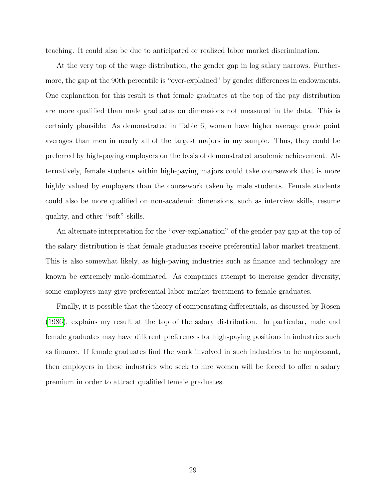teaching. It could also be due to anticipated or realized labor market discrimination.

At the very top of the wage distribution, the gender gap in log salary narrows. Furthermore, the gap at the 90th percentile is "over-explained" by gender differences in endowments. One explanation for this result is that female graduates at the top of the pay distribution are more qualified than male graduates on dimensions not measured in the data. This is certainly plausible: As demonstrated in Table 6, women have higher average grade point averages than men in nearly all of the largest majors in my sample. Thus, they could be preferred by high-paying employers on the basis of demonstrated academic achievement. Alternatively, female students within high-paying majors could take coursework that is more highly valued by employers than the coursework taken by male students. Female students could also be more qualified on non-academic dimensions, such as interview skills, resume quality, and other "soft" skills.

An alternate interpretation for the "over-explanation" of the gender pay gap at the top of the salary distribution is that female graduates receive preferential labor market treatment. This is also somewhat likely, as high-paying industries such as finance and technology are known be extremely male-dominated. As companies attempt to increase gender diversity, some employers may give preferential labor market treatment to female graduates.

Finally, it is possible that the theory of compensating differentials, as discussed by Rosen [\(1986\)](#page-46-8), explains my result at the top of the salary distribution. In particular, male and female graduates may have different preferences for high-paying positions in industries such as finance. If female graduates find the work involved in such industries to be unpleasant, then employers in these industries who seek to hire women will be forced to offer a salary premium in order to attract qualified female graduates.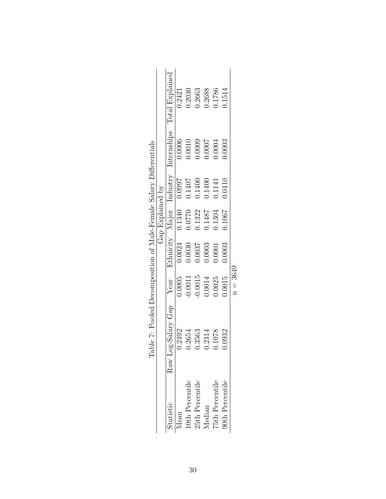<span id="page-30-0"></span>

|                                                                  |                  | Internships Total Explained | 0.2421            | 0.2030         | 0.2663          | 1.2688 | 1.1786          | 1514            |            |
|------------------------------------------------------------------|------------------|-----------------------------|-------------------|----------------|-----------------|--------|-----------------|-----------------|------------|
|                                                                  |                  |                             | 0.0006            | 0.0010         | 0.0009          | 1000.  | 1.0004          | 0.0003          |            |
|                                                                  |                  |                             | 0.0997            | 0.1407         | 0.1400          | 0.1400 | 0.1141          | 0.0410          |            |
|                                                                  | Gap Explained by |                             | 0.1340            | 0.0770         | 0.1322          | 1487   | 1.1304          | 0.1067          |            |
|                                                                  |                  | Ethnicity Major Industry    | $\frac{0.0024}{}$ | 0.0030         | 0.0037          | 0.0003 | 1.0001          | 0.0003          |            |
|                                                                  |                  |                             | 0.0005            | 0.0011         | 0.0015          | 0.0014 | 0.0025          | 1.0015          | $n = 3649$ |
| able 7: Pooled Decomposition of Male-Female Salary Differentials |                  | Raw Log-Salary Gap Year     | 0.2492            | 0.2654         | 0.3563          | 0.2314 | 0.1078          | 0.0932          |            |
|                                                                  |                  | statistic                   | $I$ ean           | Oth Percentile | 25th Percentile | Aedian | 75th Percentile | 90th Percentile |            |

| ۶.<br>أ                         |
|---------------------------------|
| <br> <br> <br>i                 |
| l<br>ļ                          |
| -<br>-<br>-<br>5<br>I<br>ł<br>l |
| $-1$<br>í<br>ı<br>ĺ             |
| i<br>S<br>ו<br>ו                |
| $\int$                          |
| ł                               |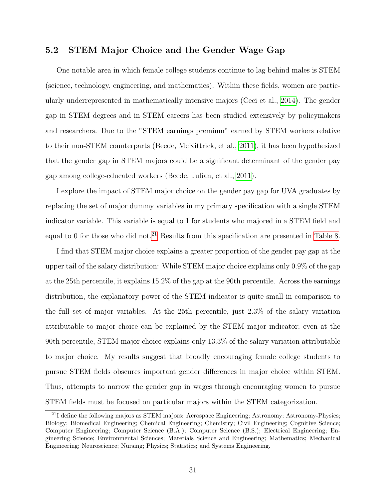#### <span id="page-31-0"></span>5.2 STEM Major Choice and the Gender Wage Gap

One notable area in which female college students continue to lag behind males is STEM (science, technology, engineering, and mathematics). Within these fields, women are particularly underrepresented in mathematically intensive majors (Ceci et al., [2014\)](#page-42-2). The gender gap in STEM degrees and in STEM careers has been studied extensively by policymakers and researchers. Due to the "STEM earnings premium" earned by STEM workers relative to their non-STEM counterparts (Beede, McKittrick, et al., [2011\)](#page-41-7), it has been hypothesized that the gender gap in STEM majors could be a significant determinant of the gender pay gap among college-educated workers (Beede, Julian, et al., [2011\)](#page-41-8).

I explore the impact of STEM major choice on the gender pay gap for UVA graduates by replacing the set of major dummy variables in my primary specification with a single STEM indicator variable. This variable is equal to 1 for students who majored in a STEM field and equal to 0 for those who did not.<sup>[21](#page-31-1)</sup> Results from this specification are presented in [Table 8.](#page-32-0)

I find that STEM major choice explains a greater proportion of the gender pay gap at the upper tail of the salary distribution: While STEM major choice explains only 0.9% of the gap at the 25th percentile, it explains 15.2% of the gap at the 90th percentile. Across the earnings distribution, the explanatory power of the STEM indicator is quite small in comparison to the full set of major variables. At the 25th percentile, just 2.3% of the salary variation attributable to major choice can be explained by the STEM major indicator; even at the 90th percentile, STEM major choice explains only 13.3% of the salary variation attributable to major choice. My results suggest that broadly encouraging female college students to pursue STEM fields obscures important gender differences in major choice within STEM. Thus, attempts to narrow the gender gap in wages through encouraging women to pursue STEM fields must be focused on particular majors within the STEM categorization.

<span id="page-31-1"></span><sup>&</sup>lt;sup>21</sup>I define the following majors as STEM majors: Aerospace Engineering; Astronomy; Astronomy-Physics; Biology; Biomedical Engineering; Chemical Engineering; Chemistry; Civil Engineering; Cognitive Science; Computer Engineering; Computer Science (B.A.); Computer Science (B.S.); Electrical Engineering; Engineering Science; Environmental Sciences; Materials Science and Engineering; Mathematics; Mechanical Engineering; Neuroscience; Nursing; Physics; Statistics; and Systems Engineering.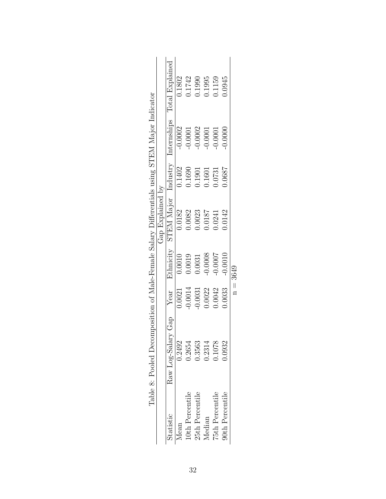<span id="page-32-0"></span>

| Table 8: Pooled Decomposition of Male-Female Salary Differentials using STEM Major Indicator | Gap Explained by | Internships Total Explained<br>STEM Major Industry<br>Ethnicity<br>$\overline{\text{Year}}$<br>Raw Log-Salary Gap | 0.1802<br>$-0.0002$<br>0.1402<br>0.0182<br>0.0010<br>0.0021<br>0.2492 | 1.1742<br>0.0001<br>0.1690<br>0.0082<br>0.0019<br>0.0014<br>1.2654 | 0.1990<br>0.0002<br>0.1901<br>0.0023<br>0.0031<br>0.0031<br>0.3563 | 0.1995<br>$-0.0001$<br>0.1601<br>1810.0<br>0.0008<br>0.0022<br>0.2314 | 0.1159<br>0.0001<br>0.731<br>1.0241<br>$-0.0007$<br>0.0042<br>0.1078 | 1.0945<br>0.0000<br>1.0687<br>0.0142<br>0.0010<br>0.0033<br>0.932 | $n = 3649$ |
|----------------------------------------------------------------------------------------------|------------------|-------------------------------------------------------------------------------------------------------------------|-----------------------------------------------------------------------|--------------------------------------------------------------------|--------------------------------------------------------------------|-----------------------------------------------------------------------|----------------------------------------------------------------------|-------------------------------------------------------------------|------------|
|                                                                                              |                  | Statistic                                                                                                         | Mean                                                                  | Oth Percentile                                                     | 25th Percentile                                                    | Median                                                                | 75th Percentile                                                      | <b>90th Percentile</b>                                            |            |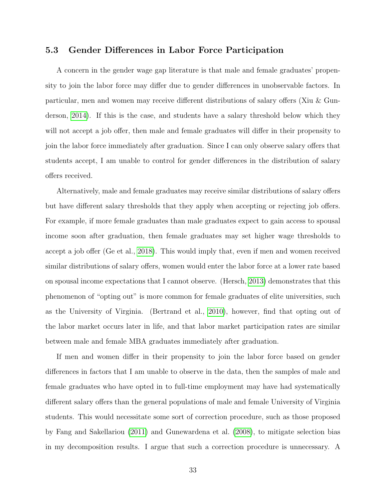#### <span id="page-33-0"></span>5.3 Gender Differences in Labor Force Participation

A concern in the gender wage gap literature is that male and female graduates' propensity to join the labor force may differ due to gender differences in unobservable factors. In particular, men and women may receive different distributions of salary offers (Xiu & Gunderson, [2014\)](#page-48-0). If this is the case, and students have a salary threshold below which they will not accept a job offer, then male and female graduates will differ in their propensity to join the labor force immediately after graduation. Since I can only observe salary offers that students accept, I am unable to control for gender differences in the distribution of salary offers received.

Alternatively, male and female graduates may receive similar distributions of salary offers but have different salary thresholds that they apply when accepting or rejecting job offers. For example, if more female graduates than male graduates expect to gain access to spousal income soon after graduation, then female graduates may set higher wage thresholds to accept a job offer (Ge et al., [2018\)](#page-44-4). This would imply that, even if men and women received similar distributions of salary offers, women would enter the labor force at a lower rate based on spousal income expectations that I cannot observe. (Hersch, [2013\)](#page-44-5) demonstrates that this phenomenon of "opting out" is more common for female graduates of elite universities, such as the University of Virginia. (Bertrand et al., [2010\)](#page-42-1), however, find that opting out of the labor market occurs later in life, and that labor market participation rates are similar between male and female MBA graduates immediately after graduation.

If men and women differ in their propensity to join the labor force based on gender differences in factors that I am unable to observe in the data, then the samples of male and female graduates who have opted in to full-time employment may have had systematically different salary offers than the general populations of male and female University of Virginia students. This would necessitate some sort of correction procedure, such as those proposed by Fang and Sakellariou [\(2011\)](#page-43-6) and Gunewardena et al. [\(2008\)](#page-44-6), to mitigate selection bias in my decomposition results. I argue that such a correction procedure is unnecessary. A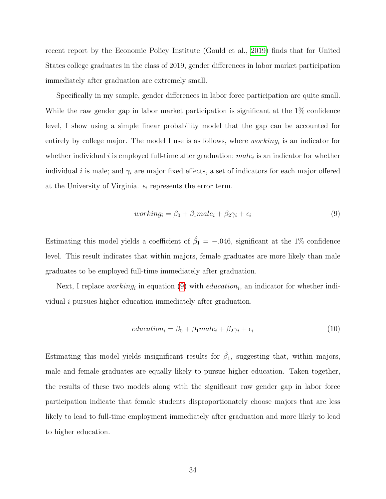recent report by the Economic Policy Institute (Gould et al., [2019\)](#page-44-7) finds that for United States college graduates in the class of 2019, gender differences in labor market participation immediately after graduation are extremely small.

Specifically in my sample, gender differences in labor force participation are quite small. While the raw gender gap in labor market participation is significant at the 1% confidence level, I show using a simple linear probability model that the gap can be accounted for entirely by college major. The model I use is as follows, where  $working_i$  is an indicator for whether individual i is employed full-time after graduation;  $male_i$  is an indicator for whether individual i is male; and  $\gamma_i$  are major fixed effects, a set of indicators for each major offered at the University of Virginia.  $\epsilon_i$  represents the error term.

<span id="page-34-0"></span>
$$
working_i = \beta_0 + \beta_1 male_i + \beta_2 \gamma_i + \epsilon_i \tag{9}
$$

Estimating this model yields a coefficient of  $\hat{\beta}_1 = -.046$ , significant at the 1% confidence level. This result indicates that within majors, female graduates are more likely than male graduates to be employed full-time immediately after graduation.

Next, I replace  $working_i$  in equation [\(9\)](#page-34-0) with  $eduction_i$ , an indicator for whether individual i pursues higher education immediately after graduation.

$$
eduction_i = \beta_0 + \beta_1 male_i + \beta_2 \gamma_i + \epsilon_i \tag{10}
$$

Estimating this model yields insignificant results for  $\hat{\beta}_1$ , suggesting that, within majors, male and female graduates are equally likely to pursue higher education. Taken together, the results of these two models along with the significant raw gender gap in labor force participation indicate that female students disproportionately choose majors that are less likely to lead to full-time employment immediately after graduation and more likely to lead to higher education.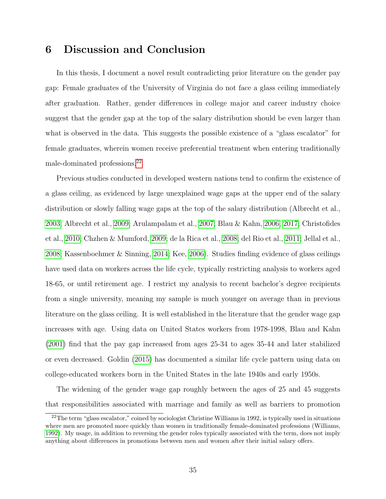### <span id="page-35-0"></span>6 Discussion and Conclusion

In this thesis, I document a novel result contradicting prior literature on the gender pay gap: Female graduates of the University of Virginia do not face a glass ceiling immediately after graduation. Rather, gender differences in college major and career industry choice suggest that the gender gap at the top of the salary distribution should be even larger than what is observed in the data. This suggests the possible existence of a "glass escalator" for female graduates, wherein women receive preferential treatment when entering traditionally male-dominated professions.[22](#page-35-1)

Previous studies conducted in developed western nations tend to confirm the existence of a glass ceiling, as evidenced by large unexplained wage gaps at the upper end of the salary distribution or slowly falling wage gaps at the top of the salary distribution (Albrecht et al., [2003;](#page-41-5) Albrecht et al., [2009;](#page-41-9) Arulampalam et al., [2007;](#page-41-6) Blau & Kahn, [2006,](#page-42-9) [2017;](#page-42-0) Christofides et al., [2010;](#page-43-7) Chzhen & Mumford, [2009;](#page-43-8) de la Rica et al., [2008;](#page-43-9) del Rio et al., [2011;](#page-43-10) Jellal et al., [2008;](#page-45-8) Kassenboehmer & Sinning, [2014;](#page-45-7) Kee, [2006\)](#page-45-9). Studies finding evidence of glass ceilings have used data on workers across the life cycle, typically restricting analysis to workers aged 18-65, or until retirement age. I restrict my analysis to recent bachelor's degree recipients from a single university, meaning my sample is much younger on average than in previous literature on the glass ceiling. It is well established in the literature that the gender wage gap increases with age. Using data on United States workers from 1978-1998, Blau and Kahn [\(2001\)](#page-42-10) find that the pay gap increased from ages 25-34 to ages 35-44 and later stabilized or even decreased. Goldin [\(2015\)](#page-44-8) has documented a similar life cycle pattern using data on college-educated workers born in the United States in the late 1940s and early 1950s.

The widening of the gender wage gap roughly between the ages of 25 and 45 suggests that responsibilities associated with marriage and family as well as barriers to promotion

<span id="page-35-1"></span> $^{22}$ The term "glass escalator," coined by sociologist Christine Williams in 1992, is typically used in situations where men are promoted more quickly than women in traditionally female-dominated professions (Williams, [1992\)](#page-47-7). My usage, in addition to reversing the gender roles typically associated with the term, does not imply anything about differences in promotions between men and women after their initial salary offers.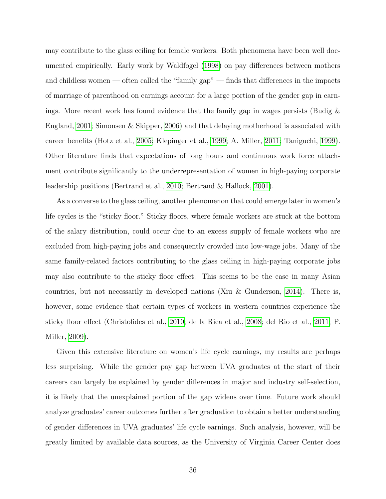may contribute to the glass ceiling for female workers. Both phenomena have been well documented empirically. Early work by Waldfogel [\(1998\)](#page-47-8) on pay differences between mothers and childless women — often called the "family gap" — finds that differences in the impacts of marriage of parenthood on earnings account for a large portion of the gender gap in earnings. More recent work has found evidence that the family gap in wages persists (Budig  $\&$ England, [2001;](#page-42-11) Simonsen & Skipper, [2006\)](#page-47-9) and that delaying motherhood is associated with career benefits (Hotz et al., [2005;](#page-44-9) Klepinger et al., [1999;](#page-45-10) A. Miller, [2011;](#page-46-9) Taniguchi, [1999\)](#page-47-10). Other literature finds that expectations of long hours and continuous work force attachment contribute significantly to the underrepresentation of women in high-paying corporate leadership positions (Bertrand et al., [2010;](#page-42-1) Bertrand & Hallock, [2001\)](#page-42-12).

As a converse to the glass ceiling, another phenomenon that could emerge later in women's life cycles is the "sticky floor." Sticky floors, where female workers are stuck at the bottom of the salary distribution, could occur due to an excess supply of female workers who are excluded from high-paying jobs and consequently crowded into low-wage jobs. Many of the same family-related factors contributing to the glass ceiling in high-paying corporate jobs may also contribute to the sticky floor effect. This seems to be the case in many Asian countries, but not necessarily in developed nations (Xiu & Gunderson, [2014\)](#page-48-0). There is, however, some evidence that certain types of workers in western countries experience the sticky floor effect (Christofides et al., [2010;](#page-43-7) de la Rica et al., [2008;](#page-43-9) del Rio et al., [2011;](#page-43-10) P. Miller, [2009\)](#page-46-10).

Given this extensive literature on women's life cycle earnings, my results are perhaps less surprising. While the gender pay gap between UVA graduates at the start of their careers can largely be explained by gender differences in major and industry self-selection, it is likely that the unexplained portion of the gap widens over time. Future work should analyze graduates' career outcomes further after graduation to obtain a better understanding of gender differences in UVA graduates' life cycle earnings. Such analysis, however, will be greatly limited by available data sources, as the University of Virginia Career Center does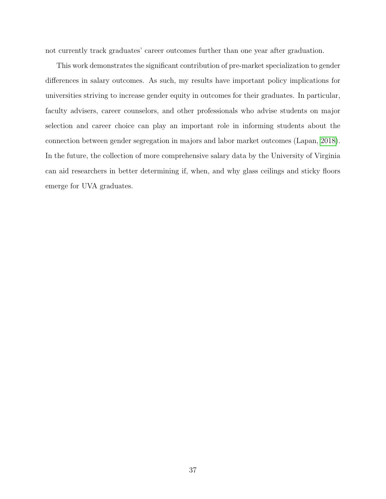not currently track graduates' career outcomes further than one year after graduation.

This work demonstrates the significant contribution of pre-market specialization to gender differences in salary outcomes. As such, my results have important policy implications for universities striving to increase gender equity in outcomes for their graduates. In particular, faculty advisers, career counselors, and other professionals who advise students on major selection and career choice can play an important role in informing students about the connection between gender segregation in majors and labor market outcomes (Lapan, [2018\)](#page-45-11). In the future, the collection of more comprehensive salary data by the University of Virginia can aid researchers in better determining if, when, and why glass ceilings and sticky floors emerge for UVA graduates.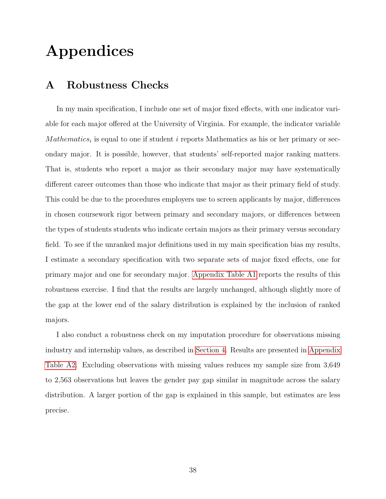# Appendices

### <span id="page-38-0"></span>A Robustness Checks

In my main specification, I include one set of major fixed effects, with one indicator variable for each major offered at the University of Virginia. For example, the indicator variable  $Mathematics_i$  is equal to one if student i reports Mathematics as his or her primary or secondary major. It is possible, however, that students' self-reported major ranking matters. That is, students who report a major as their secondary major may have systematically different career outcomes than those who indicate that major as their primary field of study. This could be due to the procedures employers use to screen applicants by major, differences in chosen coursework rigor between primary and secondary majors, or differences between the types of students students who indicate certain majors as their primary versus secondary field. To see if the unranked major definitions used in my main specification bias my results, I estimate a secondary specification with two separate sets of major fixed effects, one for primary major and one for secondary major. [Appendix Table A1](#page-17-1) reports the results of this robustness exercise. I find that the results are largely unchanged, although slightly more of the gap at the lower end of the salary distribution is explained by the inclusion of ranked majors.

I also conduct a robustness check on my imputation procedure for observations missing industry and internship values, as described in [Section 4.](#page-15-0) Results are presented in [Appendix](#page-19-0) [Table A2.](#page-19-0) Excluding observations with missing values reduces my sample size from 3,649 to 2,563 observations but leaves the gender pay gap similar in magnitude across the salary distribution. A larger portion of the gap is explained in this sample, but estimates are less precise.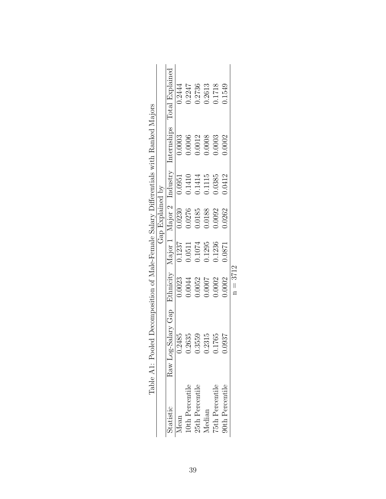| Gap Explained by | Total Explained | 0.2444<br>0.0003<br>0.0951<br>0.0230<br>0.1237                    | 0.2247<br>0.0006<br>0.1410<br>0.0276<br>0.0511 | 0.2736<br>0.0012<br>0.1414<br>0.0185<br>1074 | 0.2613<br>1.0008<br>0.1115<br>0.0188<br>1.295 | 0.1718<br>0.0003<br>0.385<br>0.0092<br>0.1236 | 1549<br>0.0002<br>0.0412<br>0.262<br>1780.0 |            |
|------------------|-----------------|-------------------------------------------------------------------|------------------------------------------------|----------------------------------------------|-----------------------------------------------|-----------------------------------------------|---------------------------------------------|------------|
|                  | statistic       | 0.2485<br>Jean                                                    | 0.2635<br>.0th Percentile                      | 0.3559<br>25th Percentile                    | 0.2315<br>Aedian                              | 1765<br>75th Percentile                       | 1.0937<br>90th Percentile                   | $n = 3712$ |
|                  |                 | Raw Log-Salary Gap Ethnicity Major 1 Major 2 Industry Internships | 0.0023                                         | 1.0044                                       | 0.0052                                        | 1.0007                                        | 0.0002                                      | 0000.0     |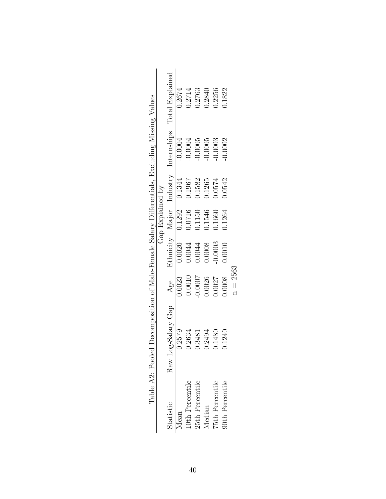| l0th Percentile<br>25th Percentile | Raw Log-Salary Gap<br>2579<br>2634<br>2494<br>3481 | 0.0007<br>0.0026<br>0.0023<br>0.0010<br>Age | $\frac{0.0020}{200}$<br>0.0008<br>0.0044<br>0.0044 | Gap Explained by<br>0.1292<br>0.0716<br>1.1546<br>0.1150 | Ethnicity Major Industry<br>0.1344<br>0.1582<br>0.1265<br>0.1967 | Internships<br>$-0.0004$<br>$-0.0005$<br>$-0.0004$<br>$-0.0005$ | Total Explained<br>0.2714<br>0.2763<br>0.2840<br>0.2674 |
|------------------------------------|----------------------------------------------------|---------------------------------------------|----------------------------------------------------|----------------------------------------------------------|------------------------------------------------------------------|-----------------------------------------------------------------|---------------------------------------------------------|
| 75th Percentile                    | 1480                                               | 1.0027                                      | 0.0003                                             | 0.1660                                                   | 0.0574                                                           | 0.0003                                                          | 0.2256                                                  |
| 90th Percentile                    | 1240                                               | 0.0008                                      | 0.0010                                             | 0.1264                                                   | 0.0542                                                           | 0.0002                                                          | 1822                                                    |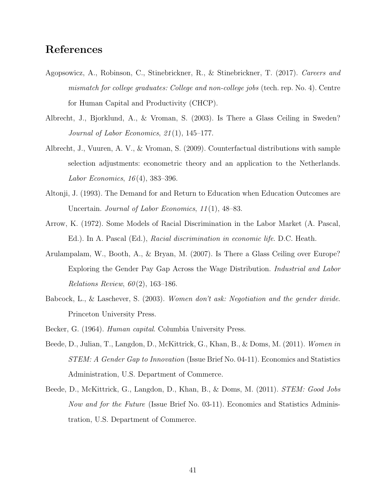### References

- <span id="page-41-4"></span>Agopsowicz, A., Robinson, C., Stinebrickner, R., & Stinebrickner, T. (2017). Careers and mismatch for college graduates: College and non-college jobs (tech. rep. No. 4). Centre for Human Capital and Productivity (CHCP).
- <span id="page-41-5"></span>Albrecht, J., Bjorklund, A., & Vroman, S. (2003). Is There a Glass Ceiling in Sweden? Journal of Labor Economics, 21 (1), 145–177.
- <span id="page-41-9"></span>Albrecht, J., Vuuren, A. V., & Vroman, S. (2009). Counterfactual distributions with sample selection adjustments: econometric theory and an application to the Netherlands. Labor Economics, 16 (4), 383–396.
- <span id="page-41-3"></span>Altonji, J. (1993). The Demand for and Return to Education when Education Outcomes are Uncertain. Journal of Labor Economics, 11(1), 48–83.
- <span id="page-41-2"></span>Arrow, K. (1972). Some Models of Racial Discrimination in the Labor Market (A. Pascal, Ed.). In A. Pascal (Ed.), Racial discrimination in economic life. D.C. Heath.
- <span id="page-41-6"></span>Arulampalam, W., Booth, A., & Bryan, M. (2007). Is There a Glass Ceiling over Europe? Exploring the Gender Pay Gap Across the Wage Distribution. Industrial and Labor Relations Review,  $60(2)$ , 163-186.
- <span id="page-41-0"></span>Babcock, L., & Laschever, S. (2003). Women don't ask: Negotiation and the gender divide. Princeton University Press.
- <span id="page-41-8"></span><span id="page-41-1"></span>Becker, G. (1964). *Human capital*. Columbia University Press.
- Beede, D., Julian, T., Langdon, D., McKittrick, G., Khan, B., & Doms, M. (2011). Women in STEM: A Gender Gap to Innovation (Issue Brief No. 04-11). Economics and Statistics Administration, U.S. Department of Commerce.
- <span id="page-41-7"></span>Beede, D., McKittrick, G., Langdon, D., Khan, B., & Doms, M. (2011). STEM: Good Jobs Now and for the Future (Issue Brief No. 03-11). Economics and Statistics Administration, U.S. Department of Commerce.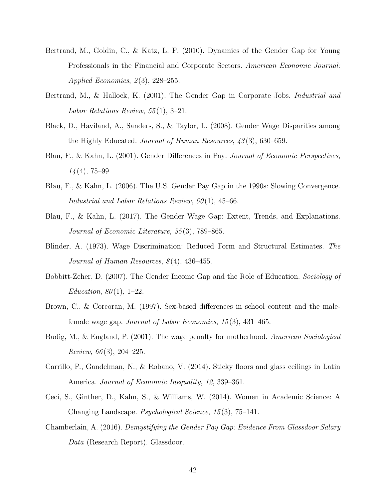- <span id="page-42-1"></span>Bertrand, M., Goldin, C., & Katz, L. F. (2010). Dynamics of the Gender Gap for Young Professionals in the Financial and Corporate Sectors. American Economic Journal: Applied Economics,  $2(3)$ ,  $228-255$ .
- <span id="page-42-12"></span>Bertrand, M., & Hallock, K. (2001). The Gender Gap in Corporate Jobs. Industrial and Labor Relations Review, 55 (1), 3–21.
- <span id="page-42-5"></span>Black, D., Haviland, A., Sanders, S., & Taylor, L. (2008). Gender Wage Disparities among the Highly Educated. Journal of Human Resources, 43 (3), 630–659.
- <span id="page-42-10"></span>Blau, F., & Kahn, L. (2001). Gender Differences in Pay. Journal of Economic Perspectives,  $14(4)$ , 75–99.
- <span id="page-42-9"></span>Blau, F., & Kahn, L. (2006). The U.S. Gender Pay Gap in the 1990s: Slowing Convergence. Industrial and Labor Relations Review,  $60(1)$ , 45–66.
- <span id="page-42-0"></span>Blau, F., & Kahn, L. (2017). The Gender Wage Gap: Extent, Trends, and Explanations. Journal of Economic Literature, 55 (3), 789–865.
- <span id="page-42-7"></span>Blinder, A. (1973). Wage Discrimination: Reduced Form and Structural Estimates. The Journal of Human Resources,  $8(4)$ ,  $436-455$ .
- <span id="page-42-4"></span>Bobbitt-Zeher, D. (2007). The Gender Income Gap and the Role of Education. Sociology of Education,  $80(1)$ , 1–22.
- <span id="page-42-3"></span>Brown, C., & Corcoran, M. (1997). Sex-based differences in school content and the malefemale wage gap. Journal of Labor Economics, 15 (3), 431–465.
- <span id="page-42-11"></span>Budig, M., & England, P. (2001). The wage penalty for motherhood. American Sociological Review,  $66(3)$ , 204-225.
- <span id="page-42-8"></span>Carrillo, P., Gandelman, N., & Robano, V. (2014). Sticky floors and glass ceilings in Latin America. Journal of Economic Inequality, 12, 339–361.
- <span id="page-42-2"></span>Ceci, S., Ginther, D., Kahn, S., & Williams, W. (2014). Women in Academic Science: A Changing Landscape. Psychological Science, 15 (3), 75–141.
- <span id="page-42-6"></span>Chamberlain, A. (2016). Demystifying the Gender Pay Gap: Evidence From Glassdoor Salary Data (Research Report). Glassdoor.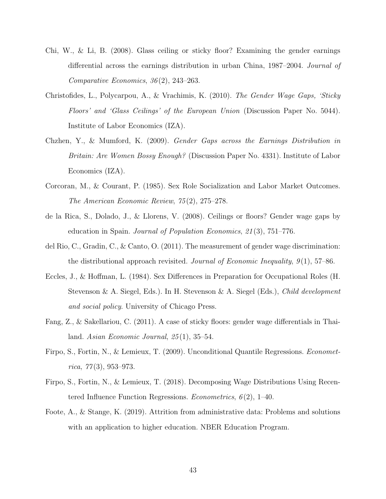- <span id="page-43-4"></span>Chi, W., & Li, B. (2008). Glass ceiling or sticky floor? Examining the gender earnings differential across the earnings distribution in urban China, 1987–2004. Journal of Comparative Economics, 36 (2), 243–263.
- <span id="page-43-7"></span>Christofides, L., Polycarpou, A., & Vrachimis, K. (2010). The Gender Wage Gaps, 'Sticky Floors' and 'Glass Ceilings' of the European Union (Discussion Paper No. 5044). Institute of Labor Economics (IZA).
- <span id="page-43-8"></span>Chzhen, Y., & Mumford, K. (2009). Gender Gaps across the Earnings Distribution in Britain: Are Women Bossy Enough? (Discussion Paper No. 4331). Institute of Labor Economics (IZA).
- <span id="page-43-0"></span>Corcoran, M., & Courant, P. (1985). Sex Role Socialization and Labor Market Outcomes. The American Economic Review, 75 (2), 275–278.
- <span id="page-43-9"></span>de la Rica, S., Dolado, J., & Llorens, V. (2008). Ceilings or floors? Gender wage gaps by education in Spain. Journal of Population Economics, 21 (3), 751–776.
- <span id="page-43-10"></span>del Rio, C., Gradin, C., & Canto, O. (2011). The measurement of gender wage discrimination: the distributional approach revisited. Journal of Economic Inequality,  $9(1)$ , 57–86.
- <span id="page-43-1"></span>Eccles, J., & Hoffman, L. (1984). Sex Differences in Preparation for Occupational Roles (H. Stevenson & A. Siegel, Eds.). In H. Stevenson & A. Siegel (Eds.), Child development and social policy. University of Chicago Press.
- <span id="page-43-6"></span>Fang, Z., & Sakellariou, C. (2011). A case of sticky floors: gender wage differentials in Thailand. Asian Economic Journal,  $25(1)$ ,  $35-54$ .
- <span id="page-43-2"></span>Firpo, S., Fortin, N., & Lemieux, T. (2009). Unconditional Quantile Regressions. Econometrica,  $77(3)$ , 953-973.
- <span id="page-43-3"></span>Firpo, S., Fortin, N., & Lemieux, T. (2018). Decomposing Wage Distributions Using Recentered Influence Function Regressions. *Econometrics*,  $6(2)$ , 1–40.
- <span id="page-43-5"></span>Foote, A., & Stange, K. (2019). Attrition from administrative data: Problems and solutions with an application to higher education. NBER Education Program.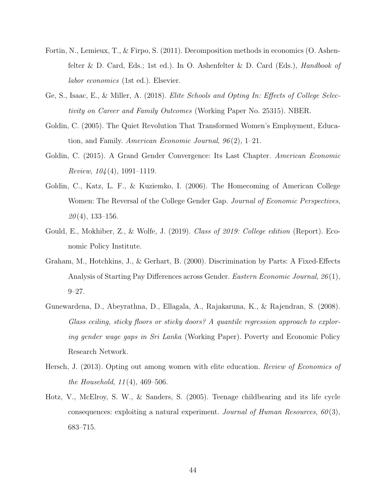- <span id="page-44-3"></span>Fortin, N., Lemieux, T., & Firpo, S. (2011). Decomposition methods in economics (O. Ashenfelter & D. Card, Eds.; 1st ed.). In O. Ashenfelter & D. Card (Eds.), Handbook of labor economics (1st ed.). Elsevier.
- <span id="page-44-4"></span>Ge, S., Isaac, E., & Miller, A. (2018). Elite Schools and Opting In: Effects of College Selectivity on Career and Family Outcomes (Working Paper No. 25315). NBER.
- <span id="page-44-1"></span>Goldin, C. (2005). The Quiet Revolution That Transformed Women's Employment, Education, and Family. American Economic Journal, 96 (2), 1–21.
- <span id="page-44-8"></span>Goldin, C. (2015). A Grand Gender Convergence: Its Last Chapter. American Economic *Review,*  $104(4)$ *, 1091–1119.*
- <span id="page-44-0"></span>Goldin, C., Katz, L. F., & Kuziemko, I. (2006). The Homecoming of American College Women: The Reversal of the College Gender Gap. Journal of Economic Perspectives,  $20(4)$ , 133–156.
- <span id="page-44-7"></span>Gould, E., Mokhiber, Z., & Wolfe, J. (2019). Class of 2019: College edition (Report). Economic Policy Institute.
- <span id="page-44-2"></span>Graham, M., Hotchkins, J., & Gerhart, B. (2000). Discrimination by Parts: A Fixed-Effects Analysis of Starting Pay Differences across Gender. Eastern Economic Journal, 26 (1), 9–27.
- <span id="page-44-6"></span>Gunewardena, D., Abeyrathna, D., Ellagala, A., Rajakaruna, K., & Rajendran, S. (2008). Glass ceiling, sticky floors or sticky doors? A quantile regression approach to exploring gender wage gaps in Sri Lanka (Working Paper). Poverty and Economic Policy Research Network.
- <span id="page-44-5"></span>Hersch, J. (2013). Opting out among women with elite education. Review of Economics of the Household,  $11(4)$ ,  $469-506$ .
- <span id="page-44-9"></span>Hotz, V., McElroy, S. W., & Sanders, S. (2005). Teenage childbearing and its life cycle consequences: exploiting a natural experiment. Journal of Human Resources,  $60(3)$ , 683–715.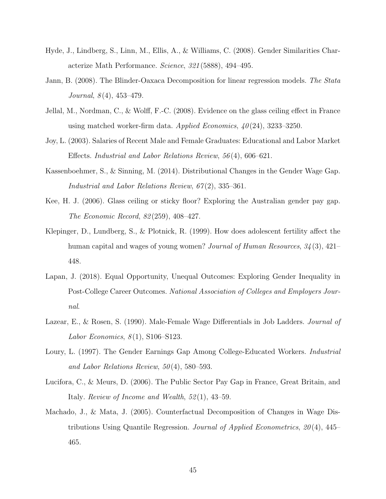- <span id="page-45-0"></span>Hyde, J., Lindberg, S., Linn, M., Ellis, A., & Williams, C. (2008). Gender Similarities Characterize Math Performance. Science, 321 (5888), 494–495.
- <span id="page-45-4"></span>Jann, B. (2008). The Blinder-Oaxaca Decomposition for linear regression models. The Stata Journal,  $8(4)$ ,  $453-479$ .
- <span id="page-45-8"></span>Jellal, M., Nordman, C., & Wolff, F.-C. (2008). Evidence on the glass ceiling effect in France using matched worker-firm data. Applied Economics,  $40(24)$ , 3233–3250.
- <span id="page-45-3"></span>Joy, L. (2003). Salaries of Recent Male and Female Graduates: Educational and Labor Market Effects. Industrial and Labor Relations Review, 56 (4), 606–621.
- <span id="page-45-7"></span>Kassenboehmer, S., & Sinning, M. (2014). Distributional Changes in the Gender Wage Gap. Industrial and Labor Relations Review, 67 (2), 335–361.
- <span id="page-45-9"></span>Kee, H. J. (2006). Glass ceiling or sticky floor? Exploring the Australian gender pay gap. The Economic Record, 82 (259), 408–427.
- <span id="page-45-10"></span>Klepinger, D., Lundberg, S., & Plotnick, R. (1999). How does adolescent fertility affect the human capital and wages of young women? Journal of Human Resources, 34(3), 421– 448.
- <span id="page-45-11"></span>Lapan, J. (2018). Equal Opportunity, Unequal Outcomes: Exploring Gender Inequality in Post-College Career Outcomes. National Association of Colleges and Employers Journal.
- <span id="page-45-1"></span>Lazear, E., & Rosen, S. (1990). Male-Female Wage Differentials in Job Ladders. *Journal of* Labor Economics,  $8(1)$ , S106–S123.
- <span id="page-45-2"></span>Loury, L. (1997). The Gender Earnings Gap Among College-Educated Workers. *Industrial* and Labor Relations Review,  $50(4)$ , 580–593.
- <span id="page-45-6"></span>Lucifora, C., & Meurs, D. (2006). The Public Sector Pay Gap in France, Great Britain, and Italy. Review of Income and Wealth, 52 (1), 43–59.
- <span id="page-45-5"></span>Machado, J., & Mata, J. (2005). Counterfactual Decomposition of Changes in Wage Distributions Using Quantile Regression. Journal of Applied Econometrics,  $20(4)$ , 445– 465.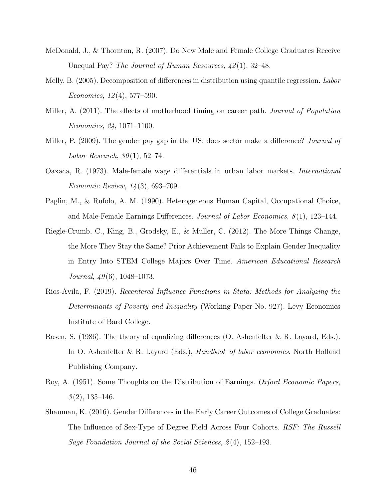- <span id="page-46-4"></span>McDonald, J., & Thornton, R. (2007). Do New Male and Female College Graduates Receive Unequal Pay? The Journal of Human Resources,  $\frac{42}{11}$ , 32–48.
- <span id="page-46-6"></span>Melly, B. (2005). Decomposition of differences in distribution using quantile regression. Labor Economics, 12 (4), 577–590.
- <span id="page-46-9"></span>Miller, A. (2011). The effects of motherhood timing on career path. *Journal of Population* Economics, 24, 1071–1100.
- <span id="page-46-10"></span>Miller, P. (2009). The gender pay gap in the US: does sector make a difference? *Journal of* Labor Research,  $30(1)$ , 52–74.
- <span id="page-46-5"></span>Oaxaca, R. (1973). Male-female wage differentials in urban labor markets. International Economic Review, 14 (3), 693–709.
- <span id="page-46-2"></span>Paglin, M., & Rufolo, A. M. (1990). Heterogeneous Human Capital, Occupational Choice, and Male-Female Earnings Differences. Journal of Labor Economics,  $8(1)$ , 123–144.
- <span id="page-46-3"></span>Riegle-Crumb, C., King, B., Grodsky, E., & Muller, C. (2012). The More Things Change, the More They Stay the Same? Prior Achievement Fails to Explain Gender Inequality in Entry Into STEM College Majors Over Time. American Educational Research Journal,  $49(6)$ , 1048–1073.
- <span id="page-46-7"></span>Rios-Avila, F. (2019). Recentered Influence Functions in Stata: Methods for Analyzing the Determinants of Poverty and Inequality (Working Paper No. 927). Levy Economics Institute of Bard College.
- <span id="page-46-8"></span>Rosen, S. (1986). The theory of equalizing differences (O. Ashenfelter & R. Layard, Eds.). In O. Ashenfelter & R. Layard (Eds.), *Handbook of labor economics*. North Holland Publishing Company.
- <span id="page-46-1"></span>Roy, A. (1951). Some Thoughts on the Distribution of Earnings. Oxford Economic Papers,  $3(2)$ , 135–146.
- <span id="page-46-0"></span>Shauman, K. (2016). Gender Differences in the Early Career Outcomes of College Graduates: The Influence of Sex-Type of Degree Field Across Four Cohorts. RSF: The Russell Sage Foundation Journal of the Social Sciences, 2(4), 152–193.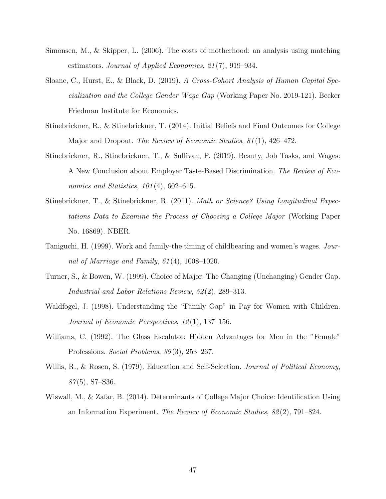- <span id="page-47-9"></span>Simonsen, M., & Skipper, L. (2006). The costs of motherhood: an analysis using matching estimators. Journal of Applied Economics, 21 (7), 919–934.
- <span id="page-47-1"></span>Sloane, C., Hurst, E., & Black, D. (2019). A Cross-Cohort Analysis of Human Capital Specialization and the College Gender Wage Gap (Working Paper No. 2019-121). Becker Friedman Institute for Economics.
- <span id="page-47-5"></span>Stinebrickner, R., & Stinebrickner, T. (2014). Initial Beliefs and Final Outcomes for College Major and Dropout. The Review of Economic Studies, 81(1), 426–472.
- <span id="page-47-6"></span>Stinebrickner, R., Stinebrickner, T., & Sullivan, P. (2019). Beauty, Job Tasks, and Wages: A New Conclusion about Employer Taste-Based Discrimination. The Review of Economics and Statistics,  $101(4)$ , 602-615.
- <span id="page-47-4"></span>Stinebrickner, T., & Stinebrickner, R. (2011). Math or Science? Using Longitudinal Expectations Data to Examine the Process of Choosing a College Major (Working Paper No. 16869). NBER.
- <span id="page-47-10"></span>Taniguchi, H. (1999). Work and family-the timing of childbearing and women's wages. Journal of Marriage and Family, 61 (4), 1008–1020.
- <span id="page-47-0"></span>Turner, S., & Bowen, W. (1999). Choice of Major: The Changing (Unchanging) Gender Gap. Industrial and Labor Relations Review, 52 (2), 289–313.
- <span id="page-47-8"></span>Waldfogel, J. (1998). Understanding the "Family Gap" in Pay for Women with Children. Journal of Economic Perspectives, 12 (1), 137–156.
- <span id="page-47-7"></span>Williams, C. (1992). The Glass Escalator: Hidden Advantages for Men in the "Female" Professions. Social Problems, 39(3), 253–267.
- <span id="page-47-2"></span>Willis, R., & Rosen, S. (1979). Education and Self-Selection. *Journal of Political Economy*,  $87(5)$ , S7–S36.
- <span id="page-47-3"></span>Wiswall, M., & Zafar, B. (2014). Determinants of College Major Choice: Identification Using an Information Experiment. The Review of Economic Studies,  $82(2)$ , 791–824.